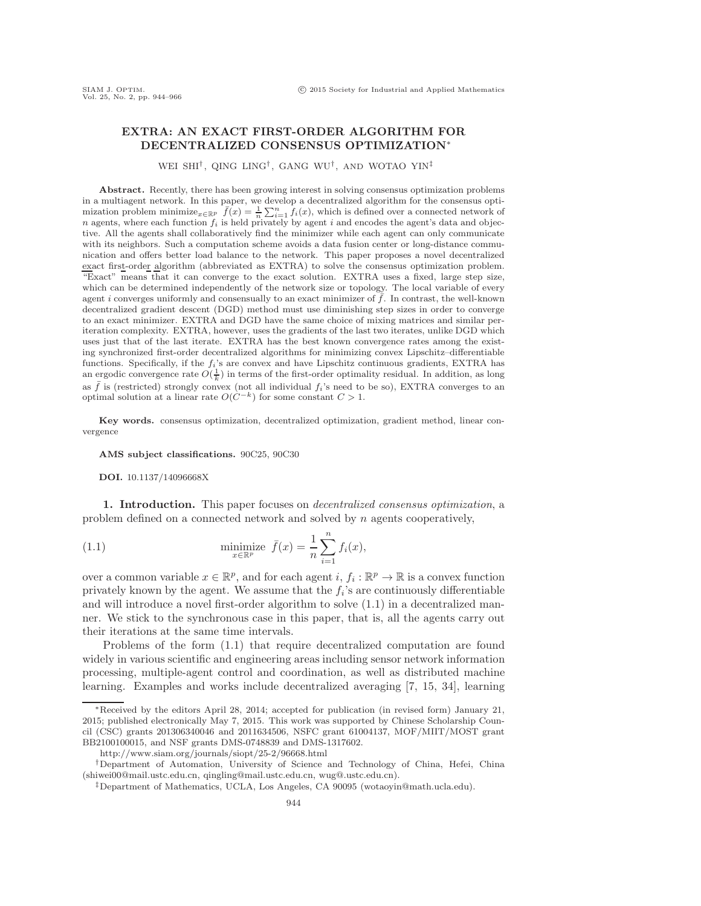## **EXTRA: AN EXACT FIRST-ORDER ALGORITHM FOR DECENTRALIZED CONSENSUS OPTIMIZATION**<sup>∗</sup>

WEI SHI<sup>†</sup>, QING LING<sup>†</sup>, GANG WU<sup>†</sup>, AND WOTAO YIN<sup>‡</sup>

**Abstract.** Recently, there has been growing interest in solving consensus optimization problems in a multiagent network. In this paper, we develop a decentralized algorithm for the consensus optimization problem minimize<sub>*x*∈Rp</sub>  $\overline{f}(x) = \frac{1}{n} \sum_{i=1}^{n} f_i(x)$ , which is defined over a connected network of  $n$  agents, where each function  $f_i$  is held privately by agent  $i$  and encodes the agent's data and objective. All the agents shall collaboratively find the minimizer while each agent can only communicate with its neighbors. Such a computation scheme avoids a data fusion center or long-distance communication and offers better load balance to the network. This paper proposes a novel decentralized exact first-order algorithm (abbreviated as EXTRA) to solve the consensus optimization problem. "Exact" means that it can converge to the exact solution. EXTRA uses a fixed, large step size, which can be determined independently of the network size or topology. The local variable of every agent i converges uniformly and consensually to an exact minimizer of  $\bar{f}$ . In contrast, the well-known decentralized gradient descent (DGD) method must use diminishing step sizes in order to converge to an exact minimizer. EXTRA and DGD have the same choice of mixing matrices and similar periteration complexity. EXTRA, however, uses the gradients of the last two iterates, unlike DGD which uses just that of the last iterate. EXTRA has the best known convergence rates among the existing synchronized first-order decentralized algorithms for minimizing convex Lipschitz–differentiable functions. Specifically, if the  $f_i$ 's are convex and have Lipschitz continuous gradients, EXTRA has an ergodic convergence rate  $O(\frac{1}{k})$  in terms of the first-order optimality residual. In addition, as long as  $\bar{f}$  is (restricted) strongly convex (not all individual  $f_i$ 's need to be so), EXTRA converges to an optimal solution at a linear rate  $O(C^{-k})$  for some constant  $C > 1$ .

**Key words.** consensus optimization, decentralized optimization, gradient method, linear convergence

**AMS subject classifications.** 90C25, 90C30

**DOI.** 10.1137/14096668X

**1. Introduction.** This paper focuses on *decentralized consensus optimization*, a problem defined on a connected network and solved by n agents cooperatively,

<span id="page-0-0"></span>(1.1) 
$$
\min_{x \in \mathbb{R}^p} \bar{f}(x) = \frac{1}{n} \sum_{i=1}^n f_i(x),
$$

over a common variable  $x \in \mathbb{R}^p$ , and for each agent  $i, f_i : \mathbb{R}^p \to \mathbb{R}$  is a convex function privately known by the agent. We assume that the  $f_i$ 's are continuously differentiable and will introduce a novel first-order algorithm to solve [\(1.1\)](#page-0-0) in a decentralized manner. We stick to the synchronous case in this paper, that is, all the agents carry out their iterations at the same time intervals.

Problems of the form [\(1.1\)](#page-0-0) that require decentralized computation are found widely in various scientific and engineering areas including sensor network information processing, multiple-agent control and coordination, as well as distributed machine learning. Examples and works include decentralized averaging [\[7,](#page-21-0) [15,](#page-21-1) [34\]](#page-22-0), learning

<sup>∗</sup>Received by the editors April 28, 2014; accepted for publication (in revised form) January 21, 2015; published electronically May 7, 2015. This work was supported by Chinese Scholarship Council (CSC) grants 201306340046 and 2011634506, NSFC grant 61004137, MOF/MIIT/MOST grant BB2100100015, and NSF grants DMS-0748839 and DMS-1317602.

<http://www.siam.org/journals/siopt/25-2/96668.html>

<sup>†</sup>Department of Automation, University of Science and Technology of China, Hefei, China [\(shiwei00@mail.ustc.edu.cn,](mailto:shiwei00@mail.ustc.edu.cn) [qingling@mail.ustc.edu.cn,](mailto:qingling@mail.ustc.edu.cn) [wug@.ustc.edu.cn\)](mailto:wug@.ustc.edu.cn).

<sup>‡</sup>Department of Mathematics, UCLA, Los Angeles, CA 90095 [\(wotaoyin@math.ucla.edu\)](mailto:wotaoyin@math.ucla.edu).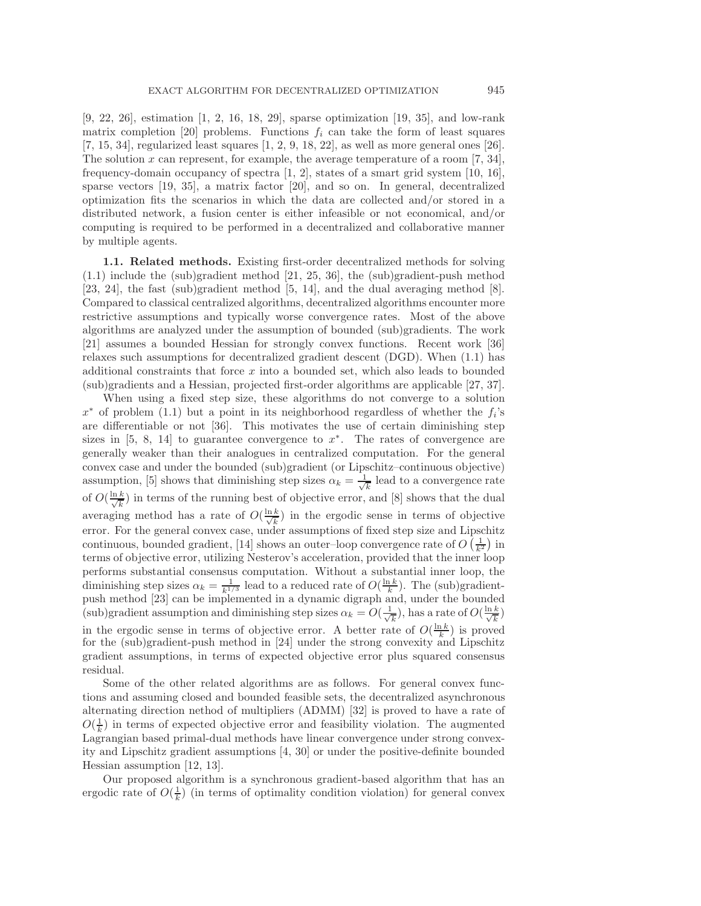[\[9,](#page-21-2) [22,](#page-21-3) [26\]](#page-21-4), estimation [\[1,](#page-20-0) [2,](#page-20-1) [16,](#page-21-5) [18,](#page-21-6) [29\]](#page-21-7), sparse optimization [\[19,](#page-21-8) [35\]](#page-22-1), and low-rank matrix completion [\[20\]](#page-21-9) problems. Functions  $f_i$  can take the form of least squares  $[7, 15, 34]$  $[7, 15, 34]$  $[7, 15, 34]$ , regularized least squares  $[1, 2, 9, 18, 22]$  $[1, 2, 9, 18, 22]$  $[1, 2, 9, 18, 22]$  $[1, 2, 9, 18, 22]$  $[1, 2, 9, 18, 22]$ , as well as more general ones  $[26]$ . The solution x can represent, for example, the average temperature of a room  $[7, 34]$  $[7, 34]$ , frequency-domain occupancy of spectra [\[1,](#page-20-0) [2\]](#page-20-1), states of a smart grid system [\[10,](#page-21-10) [16\]](#page-21-5), sparse vectors [\[19,](#page-21-8) [35\]](#page-22-1), a matrix factor [\[20\]](#page-21-9), and so on. In general, decentralized optimization fits the scenarios in which the data are collected and/or stored in a distributed network, a fusion center is either infeasible or not economical, and/or computing is required to be performed in a decentralized and collaborative manner by multiple agents.

**1.1. Related methods.** Existing first-order decentralized methods for solving [\(1.1\)](#page-0-0) include the (sub)gradient method [\[21,](#page-21-11) [25,](#page-21-12) [36\]](#page-22-2), the (sub)gradient-push method [\[23,](#page-21-13) [24\]](#page-21-14), the fast (sub)gradient method [\[5,](#page-21-15) [14\]](#page-21-16), and the dual averaging method [\[8\]](#page-21-17). Compared to classical centralized algorithms, decentralized algorithms encounter more restrictive assumptions and typically worse convergence rates. Most of the above algorithms are analyzed under the assumption of bounded (sub)gradients. The work [\[21\]](#page-21-11) assumes a bounded Hessian for strongly convex functions. Recent work [\[36\]](#page-22-2) relaxes such assumptions for decentralized gradient descent (DGD). When [\(1.1\)](#page-0-0) has additional constraints that force x into a bounded set, which also leads to bounded (sub)gradients and a Hessian, projected first-order algorithms are applicable [\[27,](#page-21-18) [37\]](#page-22-3).

When using a fixed step size, these algorithms do not converge to a solution  $x^*$  of problem [\(1.1\)](#page-0-0) but a point in its neighborhood regardless of whether the  $f_i$ 's are differentiable or not [\[36\]](#page-22-2). This motivates the use of certain diminishing step sizes in [\[5,](#page-21-15) [8,](#page-21-17) [14\]](#page-21-16) to guarantee convergence to  $x^*$ . The rates of convergence are generally weaker than their analogues in centralized computation. For the general convex case and under the bounded (sub)gradient (or Lipschitz–continuous objective) assumption, [\[5\]](#page-21-15) shows that diminishing step sizes  $\alpha_k = \frac{1}{\sqrt{k}}$  lead to a convergence rate of  $O(\frac{\ln k}{\sqrt{k}})$  in terms of the running best of objective error, and [\[8\]](#page-21-17) shows that the dual averaging method has a rate of  $O(\frac{\ln k}{\sqrt{k}})$  in the ergodic sense in terms of objective error. For the general convex case, under assumptions of fixed step size and Lipschitz continuous, bounded gradient, [\[14\]](#page-21-16) shows an outer-loop convergence rate of  $O\left(\frac{1}{k^2}\right)$  in terms of objective error, utilizing Nesterov's acceleration, provided that the inner loop performs substantial consensus computation. Without a substantial inner loop, the diminishing step sizes  $\alpha_k = \frac{1}{k^{1/3}}$  lead to a reduced rate of  $O(\frac{\ln k}{k})$ . The (sub)gradientpush method [\[23\]](#page-21-13) can be implemented in a dynamic digraph and, under the bounded (sub)gradient assumption and diminishing step sizes  $\alpha_k = O(\frac{1}{\sqrt{k}})$ , has a rate of  $O(\frac{\ln k}{\sqrt{k}})$ in the ergodic sense in terms of objective error. A better rate of  $O(\frac{\ln k}{k})$  is proved for the (sub)gradient-push method in [\[24\]](#page-21-14) under the strong convexity and Lipschitz gradient assumptions, in terms of expected objective error plus squared consensus residual.

Some of the other related algorithms are as follows. For general convex functions and assuming closed and bounded feasible sets, the decentralized asynchronous alternating direction nethod of multipliers (ADMM) [\[32\]](#page-22-4) is proved to have a rate of  $O(\frac{1}{k})$  in terms of expected objective error and feasibility violation. The augmented Lagrangian based primal-dual methods have linear convergence under strong convexity and Lipschitz gradient assumptions [\[4,](#page-21-19) [30\]](#page-21-20) or under the positive-definite bounded Hessian assumption [\[12,](#page-21-21) [13\]](#page-21-22).

Our proposed algorithm is a synchronous gradient-based algorithm that has an ergodic rate of  $O(\frac{1}{k})$  (in terms of optimality condition violation) for general convex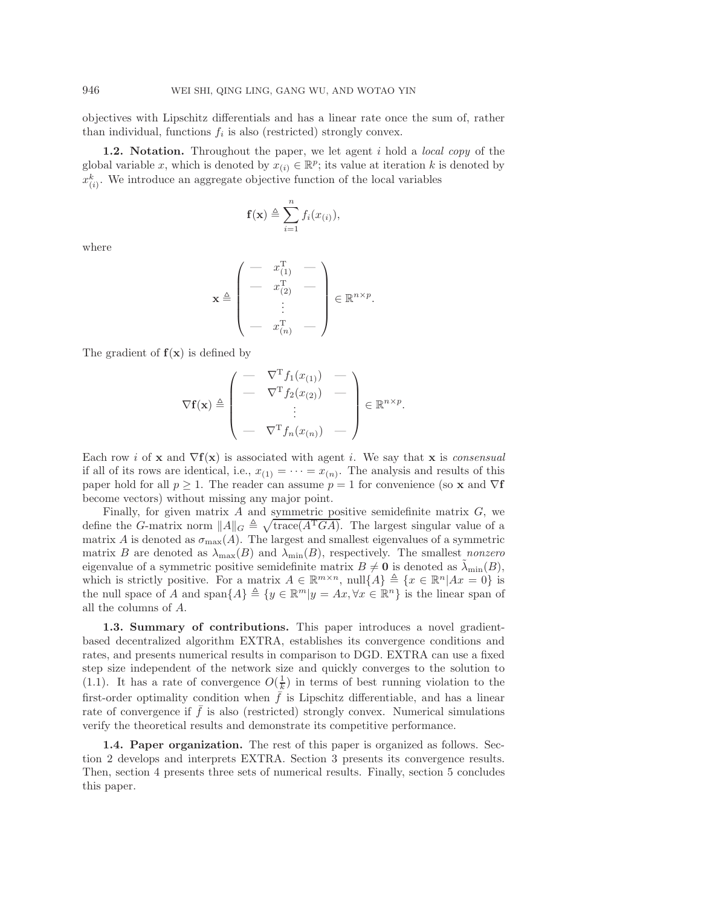objectives with Lipschitz differentials and has a linear rate once the sum of, rather than individual, functions  $f_i$  is also (restricted) strongly convex.

**1.2. Notation.** Throughout the paper, we let agent i hold a *local copy* of the global variable x, which is denoted by  $x_{(i)} \in \mathbb{R}^p$ ; its value at iteration k is denoted by  $x_{(i)}^k$ . We introduce an aggregate objective function of the local variables

$$
\mathbf{f}(\mathbf{x}) \triangleq \sum_{i=1}^{n} f_i(x_{(i)}),
$$

where

$$
\mathbf{x} \triangleq \begin{pmatrix} - & x_{(1)}^{\mathrm{T}} & - \\ - & x_{(2)}^{\mathrm{T}} & - \\ & \vdots & \\ - & x_{(n)}^{\mathrm{T}} & - \end{pmatrix} \in \mathbb{R}^{n \times p}.
$$

The gradient of  $f(x)$  is defined by

$$
\nabla \mathbf{f}(\mathbf{x}) \triangleq \begin{pmatrix} - & \nabla^{\mathrm{T}} f_1(x_{(1)}) & - \\ - & \nabla^{\mathrm{T}} f_2(x_{(2)}) & - \\ \vdots & \vdots & \vdots \\ - & \nabla^{\mathrm{T}} f_n(x_{(n)}) & - \end{pmatrix} \in \mathbb{R}^{n \times p}.
$$

Each row i of **x** and  $\nabla$ **f**(**x**) is associated with agent i. We say that **x** is *consensual* if all of its rows are identical, i.e.,  $x_{(1)} = \cdots = x_{(n)}$ . The analysis and results of this paper hold for all  $p \geq 1$ . The reader can assume  $p = 1$  for convenience (so **x** and  $\nabla$ **f** become vectors) without missing any major point.

Finally, for given matrix  $A$  and symmetric positive semidefinite matrix  $G$ , we define the G-matrix norm  $||A||_G \triangleq \sqrt{\text{trace}(A^T G A)}$ . The largest singular value of a matrix A is denoted as  $\sigma_{\text{max}}(A)$ . The largest and smallest eigenvalues of a symmetric matrix B are denoted as  $\lambda_{\text{max}}(B)$  and  $\lambda_{\text{min}}(B)$ , respectively. The smallest *nonzero* eigenvalue of a symmetric positive semidefinite matrix  $B \neq \mathbf{0}$  is denoted as  $\lambda_{\min}(B)$ , which is strictly positive. For a matrix  $A \in \mathbb{R}^{m \times n}$ ,  $null\{A\} \triangleq \{x \in \mathbb{R}^n | Ax = 0\}$  is the null space of A and span $\{A\} \triangleq \{y \in \mathbb{R}^m | y = Ax, \forall x \in \mathbb{R}^n\}$  is the linear span of all the columns of A.

**1.3. Summary of contributions.** This paper introduces a novel gradientbased decentralized algorithm EXTRA, establishes its convergence conditions and rates, and presents numerical results in comparison to DGD. EXTRA can use a fixed step size independent of the network size and quickly converges to the solution to [\(1.1\)](#page-0-0). It has a rate of convergence  $O(\frac{1}{k})$  in terms of best running violation to the first-order optimality condition when  $\bar{f}$  is Lipschitz differentiable, and has a linear rate of convergence if  $f$  is also (restricted) strongly convex. Numerical simulations verify the theoretical results and demonstrate its competitive performance.

**1.4. Paper organization.** The rest of this paper is organized as follows. Section [2](#page-3-0) develops and interprets EXTRA. Section [3](#page-7-0) presents its convergence results. Then, section [4](#page-16-0) presents three sets of numerical results. Finally, section [5](#page-18-0) concludes this paper.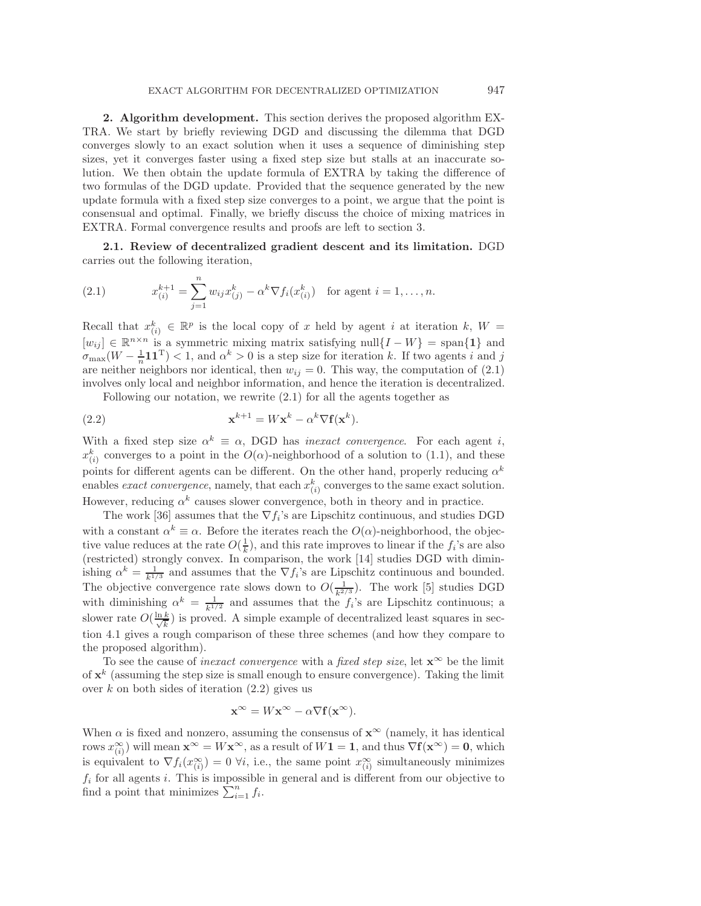<span id="page-3-0"></span>**2. Algorithm development.** This section derives the proposed algorithm EX-TRA. We start by briefly reviewing DGD and discussing the dilemma that DGD converges slowly to an exact solution when it uses a sequence of diminishing step sizes, yet it converges faster using a fixed step size but stalls at an inaccurate solution. We then obtain the update formula of EXTRA by taking the difference of two formulas of the DGD update. Provided that the sequence generated by the new update formula with a fixed step size converges to a point, we argue that the point is consensual and optimal. Finally, we briefly discuss the choice of mixing matrices in EXTRA. Formal convergence results and proofs are left to section [3.](#page-7-0)

<span id="page-3-3"></span><span id="page-3-1"></span>**2.1. Review of decentralized gradient descent and its limitation.** DGD carries out the following iteration,

(2.1) 
$$
x_{(i)}^{k+1} = \sum_{j=1}^{n} w_{ij} x_{(j)}^k - \alpha^k \nabla f_i(x_{(i)}^k) \text{ for agent } i = 1, ..., n.
$$

Recall that  $x_{(i)}^k \in \mathbb{R}^p$  is the local copy of x held by agent i at iteration k,  $W =$  $[w_{ij}] \in \mathbb{R}^{n \times n}$  is a symmetric mixing matrix satisfying null $\{I - W\} = \text{span}\{\mathbf{1}\}\$ and  $\sigma_{\max}(W - \frac{1}{n} \mathbf{1} \mathbf{1}^T) < 1$ , and  $\alpha^k > 0$  is a step size for iteration k. If two agents i and j are neither neighbors nor identical, then  $w_{ij} = 0$ . This way, the computation of [\(2.1\)](#page-3-1) involves only local and neighbor information, and hence the iteration is decentralized.

<span id="page-3-2"></span>Following our notation, we rewrite [\(2.1\)](#page-3-1) for all the agents together as

(2.2) 
$$
\mathbf{x}^{k+1} = W\mathbf{x}^k - \alpha^k \nabla \mathbf{f}(\mathbf{x}^k).
$$

With a fixed step size  $\alpha^k \equiv \alpha$ , DGD has *inexact convergence*. For each agent *i*,  $x_{(i)}^k$  converges to a point in the  $O(\alpha)$ -neighborhood of a solution to [\(1.1\)](#page-0-0), and these points for different agents can be different. On the other hand, properly reducing  $\alpha^k$ enables *exact convergence*, namely, that each  $x_{(i)}^k$  converges to the same exact solution. However, reducing  $\alpha^k$  causes slower convergence, both in theory and in practice.

The work [\[36\]](#page-22-2) assumes that the  $\nabla f_i$ 's are Lipschitz continuous, and studies DGD with a constant  $\alpha^k \equiv \alpha$ . Before the iterates reach the  $O(\alpha)$ -neighborhood, the objective value reduces at the rate  $O(\frac{1}{k})$ , and this rate improves to linear if the  $f_i$ 's are also (restricted) strongly convex. In comparison, the work [\[14\]](#page-21-16) studies DGD with diminishing  $\alpha^k = \frac{1}{k^{1/3}}$  and assumes that the  $\nabla f_i$ 's are Lipschitz continuous and bounded. The objective convergence rate slows down to  $O(\frac{1}{k^{2/3}})$ . The work [\[5\]](#page-21-15) studies DGD with diminishing  $\alpha^k = \frac{1}{k^{1/2}}$  and assumes that the  $f_i$ 's are Lipschitz continuous; a slower rate  $O(\frac{\ln k}{\sqrt{k}})$  is proved. A simple example of decentralized least squares in section [4.1](#page-16-1) gives a rough comparison of these three schemes (and how they compare to the proposed algorithm).

To see the cause of *inexact convergence* with a *fixed step size*, let  $\mathbf{x}^{\infty}$  be the limit of  $\mathbf{x}^k$  (assuming the step size is small enough to ensure convergence). Taking the limit over k on both sides of iteration  $(2.2)$  gives us

$$
\mathbf{x}^{\infty} = W\mathbf{x}^{\infty} - \alpha \nabla \mathbf{f}(\mathbf{x}^{\infty}).
$$

When  $\alpha$  is fixed and nonzero, assuming the consensus of  $\mathbf{x}^{\infty}$  (namely, it has identical rows  $x_{(i)}^{\infty}$  will mean  $\mathbf{x}^{\infty} = W\mathbf{x}^{\infty}$ , as a result of  $W\mathbf{1} = \mathbf{1}$ , and thus  $\nabla f(\mathbf{x}^{\infty}) = \mathbf{0}$ , which is equivalent to  $\nabla f_i(x_{(i)}^{\infty}) = 0$   $\forall i$ , i.e., the same point  $x_{(i)}^{\infty}$  simultaneously minimizes  $f_i$  for all agents i. This is impossible in general and is different from our objective to find a point that minimizes  $\sum_{i=1}^{n} f_i$ .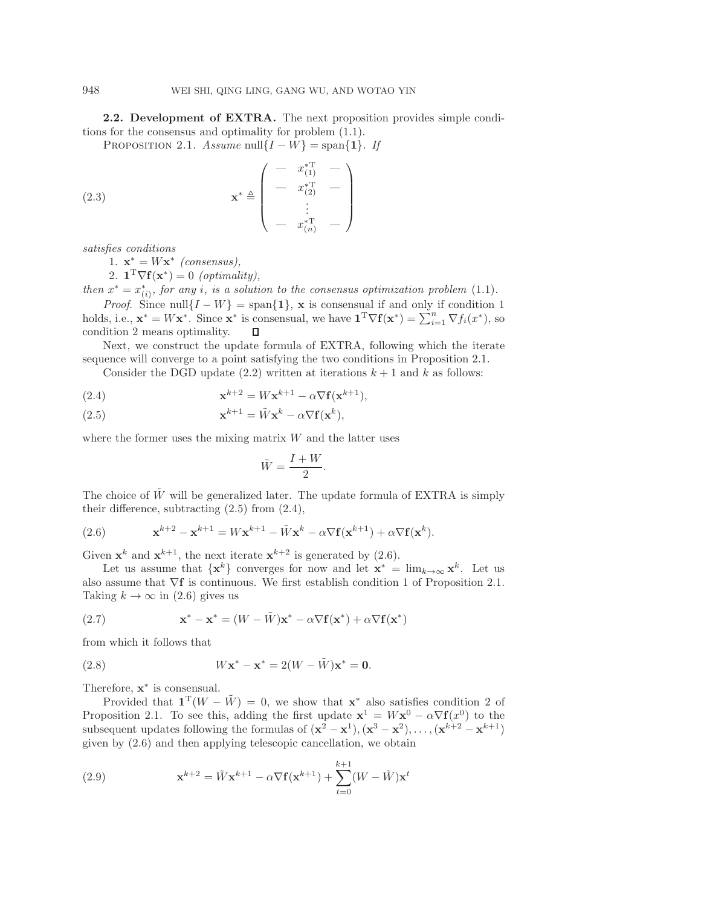<span id="page-4-0"></span>**2.2. Development of EXTRA.** The next proposition provides simple conditions for the consensus and optimality for problem [\(1.1\)](#page-0-0).

PROPOSITION 2.1. *Assume* null $\{I - W\}$  = span $\{1\}$ *. If* 

(2.3) 
$$
\mathbf{x}^{*} \triangleq \begin{pmatrix} - & x_{(1)}^{*T} & - \\ - & x_{(2)}^{*T} & - \\ \vdots & \vdots & \vdots \\ - & x_{(n)}^{*T} & - \end{pmatrix}
$$

*satisfies conditions*

1.  $\mathbf{x}^* = W\mathbf{x}^*$  *(consensus)*,

2.  $\mathbf{1}^T \nabla f(\mathbf{x}^*) = 0$  *(optimality)*,

*then*  $x^* = x^*_{(i)}$ *, for any i*, *is a solution to the consensus optimization problem* [\(1.1\)](#page-0-0)*. Proof.* Since null $\{I - W\}$  = span $\{1\}$ , **x** is consensual if and only if condition 1 holds, i.e.,  $\mathbf{x}^* = W\mathbf{x}^*$ . Since  $\mathbf{x}^*$  is consensual, we have  $\mathbf{1}^T \nabla \mathbf{f}(\mathbf{x}^*) = \sum_{i=1}^n \nabla f_i(x^*)$ , so

condition 2 means optimality.  $\Box$ Next, we construct the update formula of EXTRA, following which the iterate

sequence will converge to a point satisfying the two conditions in Proposition [2.1.](#page-4-0)

Consider the DGD update [\(2.2\)](#page-3-2) written at iterations  $k + 1$  and k as follows:

<span id="page-4-2"></span>(2.4) 
$$
\mathbf{x}^{k+2} = W\mathbf{x}^{k+1} - \alpha \nabla \mathbf{f}(\mathbf{x}^{k+1}),
$$

<span id="page-4-1"></span>(2.5) 
$$
\mathbf{x}^{k+1} = \tilde{W}\mathbf{x}^k - \alpha \nabla \mathbf{f}(\mathbf{x}^k),
$$

where the former uses the mixing matrix  $W$  and the latter uses

<span id="page-4-4"></span><span id="page-4-3"></span>
$$
\tilde{W} = \frac{I + W}{2}.
$$

The choice of  $\tilde{W}$  will be generalized later. The update formula of EXTRA is simply their difference, subtracting [\(2.5\)](#page-4-1) from [\(2.4\)](#page-4-2),

(2.6) 
$$
\mathbf{x}^{k+2} - \mathbf{x}^{k+1} = W\mathbf{x}^{k+1} - \tilde{W}\mathbf{x}^k - \alpha \nabla \mathbf{f}(\mathbf{x}^{k+1}) + \alpha \nabla \mathbf{f}(\mathbf{x}^k).
$$

Given  $\mathbf{x}^k$  and  $\mathbf{x}^{k+1}$ , the next iterate  $\mathbf{x}^{k+2}$  is generated by [\(2.6\)](#page-4-3).

Let us assume that  $\{x^k\}$  converges for now and let  $x^* = \lim_{k \to \infty} x^k$ . Let us also assume that ∇**f** is continuous. We first establish condition 1 of Proposition [2.1.](#page-4-0) Taking  $k \to \infty$  in [\(2.6\)](#page-4-3) gives us

(2.7) 
$$
\mathbf{x}^* - \mathbf{x}^* = (W - \tilde{W})\mathbf{x}^* - \alpha \nabla \mathbf{f}(\mathbf{x}^*) + \alpha \nabla \mathbf{f}(\mathbf{x}^*)
$$

from which it follows that

(2.8) 
$$
W\mathbf{x}^* - \mathbf{x}^* = 2(W - \tilde{W})\mathbf{x}^* = \mathbf{0}.
$$

Therefore, **x**<sup>∗</sup> is consensual.

Provided that  $\mathbf{1}^T(W - \tilde{W}) = 0$ , we show that  $\mathbf{x}^*$  also satisfies condition 2 of Proposition [2.1.](#page-4-0) To see this, adding the first update  $\mathbf{x}^1 = W\mathbf{x}^0 - \alpha \nabla f(x^0)$  to the subsequent updates following the formulas of  $(\mathbf{x}^2 - \mathbf{x}^1), (\mathbf{x}^3 - \mathbf{x}^2), \ldots, (\mathbf{x}^{k+2} - \mathbf{x}^{k+1})$ given by [\(2.6\)](#page-4-3) and then applying telescopic cancellation, we obtain

(2.9) 
$$
\mathbf{x}^{k+2} = \tilde{W}\mathbf{x}^{k+1} - \alpha \nabla \mathbf{f}(\mathbf{x}^{k+1}) + \sum_{t=0}^{k+1} (W - \tilde{W})\mathbf{x}^t
$$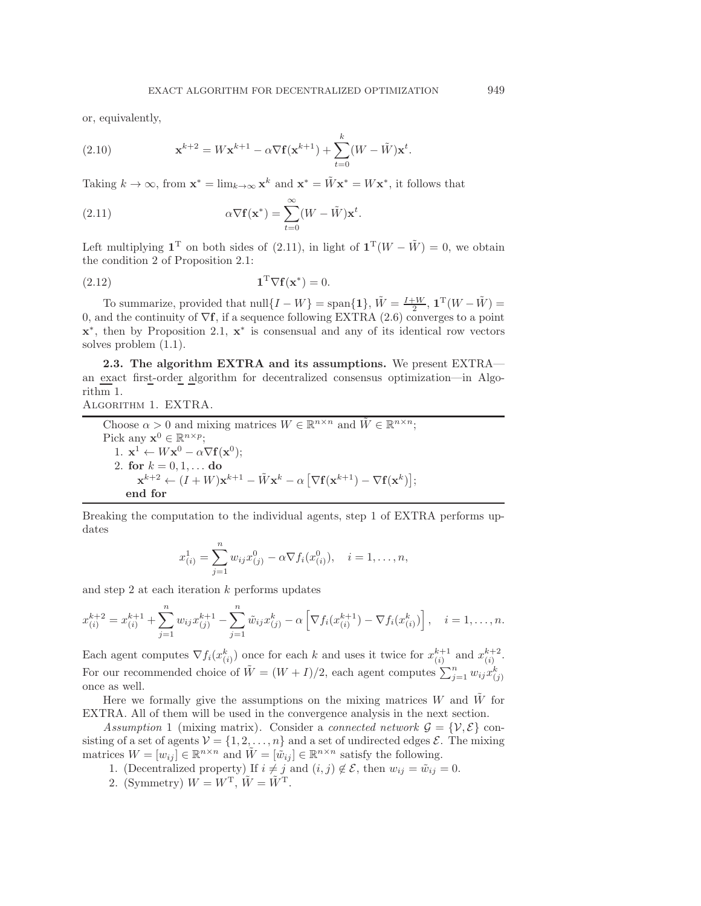<span id="page-5-2"></span>or, equivalently,

(2.10) 
$$
\mathbf{x}^{k+2} = W\mathbf{x}^{k+1} - \alpha \nabla \mathbf{f}(\mathbf{x}^{k+1}) + \sum_{t=0}^{k} (W - \tilde{W})\mathbf{x}^{t}.
$$

Taking  $k \to \infty$ , from  $\mathbf{x}^* = \lim_{k \to \infty} \mathbf{x}^k$  and  $\mathbf{x}^* = \tilde{W} \mathbf{x}^* = W \mathbf{x}^*$ , it follows that

<span id="page-5-0"></span>(2.11) 
$$
\alpha \nabla \mathbf{f}(\mathbf{x}^*) = \sum_{t=0}^{\infty} (W - \tilde{W}) \mathbf{x}^t.
$$

Left multiplying  $\mathbf{1}^T$  on both sides of [\(2.11\)](#page-5-0), in light of  $\mathbf{1}^T(W - \tilde{W}) = 0$ , we obtain the condition 2 of Proposition [2.1:](#page-4-0)

$$
\mathbf{1}^{\mathrm{T}} \nabla \mathbf{f}(\mathbf{x}^*) = 0.
$$

To summarize, provided that  $null\{I - W\} = \text{span}\{\mathbf{1}\}, \tilde{W} = \frac{I + W}{2}, \mathbf{1}^T(W - \tilde{W}) =$ 0, and the continuity of ∇**f**, if a sequence following EXTRA [\(2.6\)](#page-4-3) converges to a point **x**<sup>∗</sup>, then by Proposition [2.1,](#page-4-0) **x**<sup>∗</sup> is consensual and any of its identical row vectors solves problem [\(1.1\)](#page-0-0).

**2.3. The algorithm EXTRA and its assumptions.** We present EXTRA an exact first-order algorithm for decentralized consensus optimization—in Algorithm 1.

Algorithm 1. EXTRA.

Choose  $\alpha > 0$  and mixing matrices  $W \in \mathbb{R}^{n \times n}$  and  $\tilde{W} \in \mathbb{R}^{n \times n}$ ; Pick any  $\mathbf{x}^0 \in \mathbb{R}^{n \times p}$ ; 1.  $\mathbf{x}^1 \leftarrow W\mathbf{x}^0 - \alpha \nabla \mathbf{f}(\mathbf{x}^0);$ 2. **for**  $k = 0, 1, ...$  **do**  $\mathbf{x}^{k+2} \leftarrow (I + W)\mathbf{x}^{k+1} - \tilde{W}\mathbf{x}^k - \alpha \left[\nabla \mathbf{f}(\mathbf{x}^{k+1}) - \nabla \mathbf{f}(\mathbf{x}^k)\right];$ **end for**

Breaking the computation to the individual agents, step 1 of EXTRA performs updates

$$
x_{(i)}^1 = \sum_{j=1}^n w_{ij} x_{(j)}^0 - \alpha \nabla f_i(x_{(i)}^0), \quad i = 1, \dots, n,
$$

and step 2 at each iteration  $k$  performs updates

$$
x_{(i)}^{k+2} = x_{(i)}^{k+1} + \sum_{j=1}^{n} w_{ij} x_{(j)}^{k+1} - \sum_{j=1}^{n} \tilde{w}_{ij} x_{(j)}^{k} - \alpha \left[ \nabla f_i(x_{(i)}^{k+1}) - \nabla f_i(x_{(i)}^{k}) \right], \quad i = 1, \dots, n.
$$

Each agent computes  $\nabla f_i(x_{(i)}^k)$  once for each k and uses it twice for  $x_{(i)}^{k+1}$  and  $x_{(i)}^{k+2}$ . For our recommended choice of  $\tilde{W} = (W + I)/2$ , each agent computes  $\sum_{j=1}^{n} w_{ij} x_{(j)}^k$ once as well.

Here we formally give the assumptions on the mixing matrices  $W$  and  $\dot{W}$  for EXTRA. All of them will be used in the convergence analysis in the next section.

<span id="page-5-1"></span>*Assumption* 1 (mixing matrix). Consider a *connected network*  $\mathcal{G} = \{V, \mathcal{E}\}\)$  consisting of a set of agents  $\mathcal{V} = \{1, 2, ..., n\}$  and a set of undirected edges  $\mathcal{E}$ . The mixing matrices  $W = [w_{ij}] \in \mathbb{R}^{n \times n}$  and  $\tilde{W} = [\tilde{w}_{ij}] \in \mathbb{R}^{n \times n}$  satisfy the following.

1. (Decentralized property) If  $i \neq j$  and  $(i, j) \notin \mathcal{E}$ , then  $w_{ij} = \tilde{w}_{ij} = 0$ .

2. (Symmetry)  $W = W^{\mathrm{T}}$ ,  $\tilde{W} = \tilde{W}^{\mathrm{T}}$ .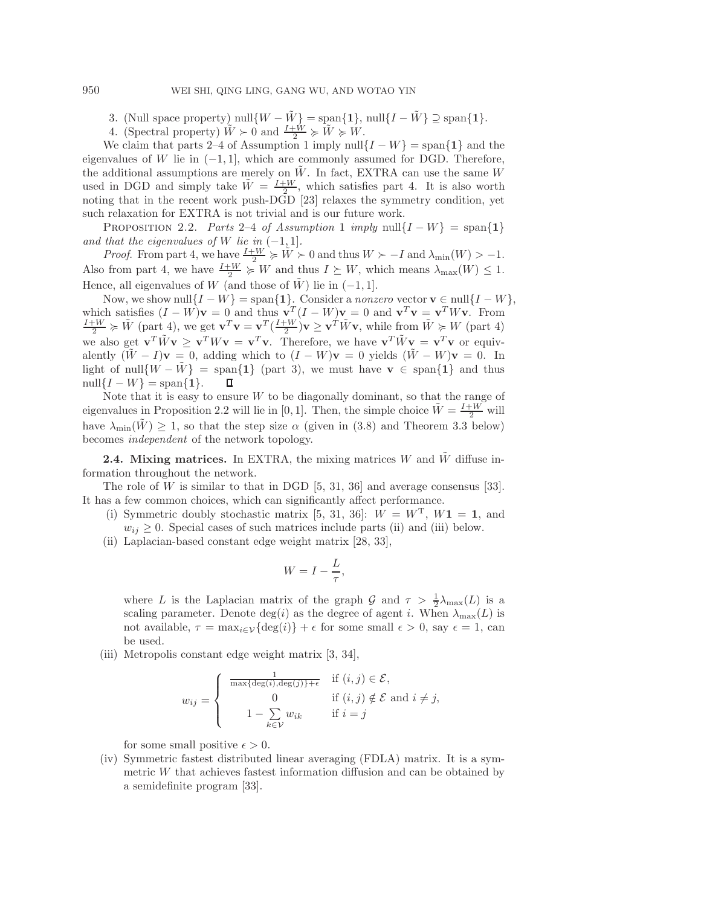3. (Null space property) null $\{W - \tilde{W}\}$  = span $\{1\}$ , null $\{I - \tilde{W}\}$   $\supseteq$  span $\{1\}$ .

4. (Spectral property)  $\tilde{W} \succ 0$  and  $\frac{I+\tilde{W}}{2} \succcurlyeq \tilde{W} \succcurlyeq \tilde{W}$ .

We claim that parts 2–4 of Assumption [1](#page-5-1) imply null $\{I - W\}$  = span $\{1\}$  and the eigenvalues of W lie in  $(-1, 1]$ , which are commonly assumed for DGD. Therefore, the additional assumptions are merely on  $\tilde{W}$ . In fact, EXTRA can use the same W used in DGD and simply take  $\tilde{W} = \frac{I+W}{2}$ , which satisfies part 4. It is also worth noting that in the recent work push-DGD [\[23\]](#page-21-13) relaxes the symmetry condition, yet such relaxation for EXTRA is not trivial and is our future work.

PROPOSITION 2.2. *Parts* 2–4 *of Assumption* [1](#page-5-1) *imply* null{ $I - W$ } = span{1} *and that the eigenvalues of* W *lie in*  $(-1, 1]$ *.* 

*Proof.* From part 4, we have  $\frac{I+W}{2} \geq \tilde{W} > 0$  and thus  $W \succ -I$  and  $\lambda_{\min}(W) > -1$ . Also from part 4, we have  $\frac{I+W}{2} \succcurlyeq W$  and thus  $I \succeq W$ , which means  $\lambda_{\max}(W) \leq 1$ . Hence, all eigenvalues of W (and those of  $\tilde{W}$ ) lie in (−1, 1].

Now, we show null $\{I - W\}$  = span $\{1\}$ . Consider a *nonzero* vector **v**  $\in$  null $\{I - W\}$ , which satisfies  $(I - W)\mathbf{v} = 0$  and thus  $\mathbf{v}^T (I - W)\mathbf{v} = 0$  and  $\mathbf{v}^T \mathbf{v} = \mathbf{v}^T W \mathbf{v}$ . From  $\frac{I + W}{2} \succcurlyeq \tilde{W}$  (part 4), we get  $\mathbf{v}^T \mathbf{v} = \mathbf{v}^T (\frac{I + W}{2}) \mathbf{v} \geq \mathbf{v}^T \tilde{W} \mathbf{v}$ , while fro we also get  $\mathbf{v}^T \tilde{W} \mathbf{v} \geq \mathbf{v}^T W \mathbf{v} = \mathbf{v}^T \mathbf{v}$ . Therefore, we have  $\mathbf{v}^T \tilde{W} \mathbf{v} = \mathbf{v}^T \mathbf{v}$  or equivalently  $(\tilde{W} - I)\mathbf{v} = 0$ , adding which to  $(I - W)\mathbf{v} = 0$  yields  $(\tilde{W} - W)\mathbf{v} = 0$ . In light of null $\{W - \tilde{W}\}$  = span $\{1\}$  (part 3), we must have **v**  $\in$  span $\{1\}$  and thus null $\{I - W\} = \text{span}\{1\}.$  $\Box$ 

Note that it is easy to ensure  $W$  to be diagonally dominant, so that the range of eigenvalues in Proposition 2.2 will lie in [0, 1]. Then, the simple choice  $\tilde{W} = \frac{I+W}{2}$  will have  $\lambda_{\min}(\tilde{W}) \geq 1$ , so that the step size  $\alpha$  (given in [\(3.8\)](#page-9-0) and Theorem [3.3](#page-9-1) below) becomes *independent* of the network topology.

<span id="page-6-0"></span>**2.4. Mixing matrices.** In EXTRA, the mixing matrices W and  $\tilde{W}$  diffuse information throughout the network.

The role of W is similar to that in DGD  $[5, 31, 36]$  $[5, 31, 36]$  $[5, 31, 36]$  and average consensus [\[33\]](#page-22-6). It has a few common choices, which can significantly affect performance.

- (i) Symmetric doubly stochastic matrix [\[5,](#page-21-15) [31,](#page-22-5) [36\]](#page-22-2):  $W = W^T$ ,  $W_1 = 1$ , and  $w_{ij} \geq 0$ . Special cases of such matrices include parts (ii) and (iii) below.
- (ii) Laplacian-based constant edge weight matrix [\[28,](#page-21-23) [33\]](#page-22-6),

$$
W = I - \frac{L}{\tau},
$$

where L is the Laplacian matrix of the graph  $\mathcal{G}$  and  $\tau > \frac{1}{2}\lambda_{\max}(L)$  is a scaling parameter. Denote deg(i) as the degree of agent i. When  $\lambda_{\text{max}}(L)$  is not available,  $\tau = \max_{i \in \mathcal{V}} {\deg(i)} + \epsilon$  for some small  $\epsilon > 0$ , say  $\epsilon = 1$ , can be used.

(iii) Metropolis constant edge weight matrix [\[3,](#page-21-24) [34\]](#page-22-0),

$$
w_{ij} = \begin{cases} \frac{1}{\max\{\deg(i), \deg(j)\} + \epsilon} & \text{if } (i, j) \in \mathcal{E}, \\ 0 & \text{if } (i, j) \notin \mathcal{E} \text{ and } i \neq j, \\ 1 - \sum_{k \in \mathcal{V}} w_{ik} & \text{if } i = j \end{cases}
$$

for some small positive  $\epsilon > 0$ .

(iv) Symmetric fastest distributed linear averaging (FDLA) matrix. It is a symmetric W that achieves fastest information diffusion and can be obtained by a semidefinite program [\[33\]](#page-22-6).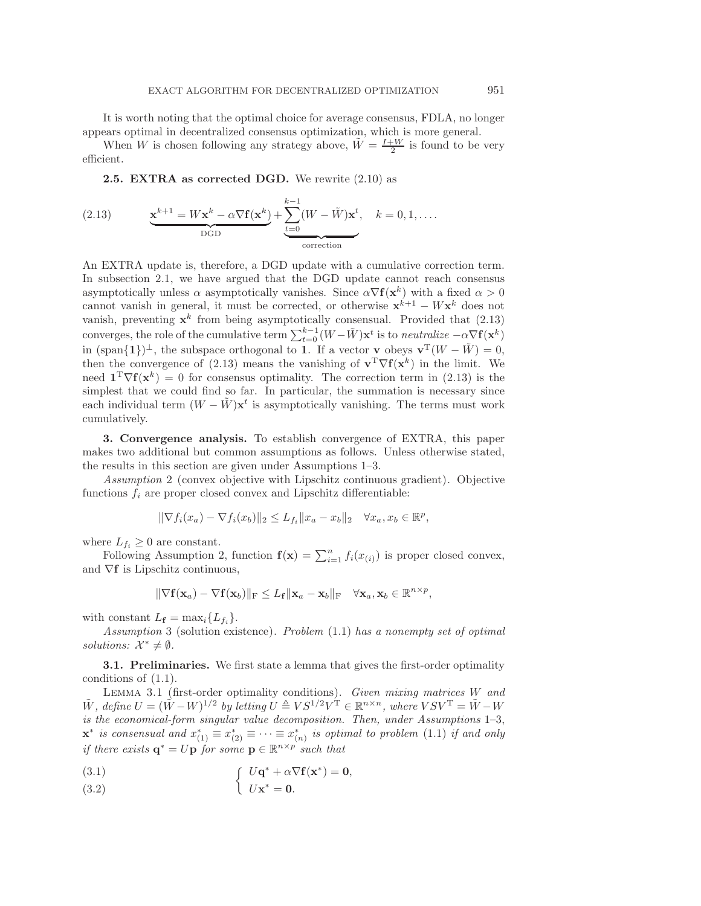It is worth noting that the optimal choice for average consensus, FDLA, no longer appears optimal in decentralized consensus optimization, which is more general.

When W is chosen following any strategy above,  $\tilde{W} = \frac{I+W}{2}$  is found to be very efficient.

<span id="page-7-1"></span>**2.5. EXTRA as corrected DGD.** We rewrite [\(2.10\)](#page-5-2) as

(2.13) 
$$
\underbrace{\mathbf{x}^{k+1} = W\mathbf{x}^k - \alpha \nabla \mathbf{f}(\mathbf{x}^k)}_{\text{DGD}} + \underbrace{\sum_{t=0}^{k-1} (W - \tilde{W})\mathbf{x}^t}_{\text{correction}}, \quad k = 0, 1, \dots
$$

An EXTRA update is, therefore, a DGD update with a cumulative correction term. In subsection [2.1,](#page-3-3) we have argued that the DGD update cannot reach consensus asymptotically unless  $\alpha$  asymptotically vanishes. Since  $\alpha \nabla f(\mathbf{x}^k)$  with a fixed  $\alpha > 0$ cannot vanish in general, it must be corrected, or otherwise  $\mathbf{x}^{k+1} - W\mathbf{x}^k$  does not vanish, preventing  $x^k$  from being asymptotically consensual. Provided that  $(2.13)$ converges, the role of the cumulative term  $\sum_{t=0}^{k-1} (W - \tilde{W}) \mathbf{x}^t$  is to *neutralize*  $-\alpha \nabla \mathbf{f}(\mathbf{x}^k)$ in  $(\text{span}\{\mathbf{1}\})^{\perp}$ , the subspace orthogonal to **1**. If a vector **v** obeys  $\mathbf{v}^T(W - \tilde{W}) = 0$ , then the convergence of [\(2.13\)](#page-7-1) means the vanishing of  $\mathbf{v}^T \nabla f(\mathbf{x}^k)$  in the limit. We need  $\mathbf{1}^T \nabla f(\mathbf{x}^k) = 0$  for consensus optimality. The correction term in [\(2.13\)](#page-7-1) is the simplest that we could find so far. In particular, the summation is necessary since each individual term  $(W - \hat{W})\mathbf{x}^t$  is asymptotically vanishing. The terms must work cumulatively.

<span id="page-7-0"></span>**3. Convergence analysis.** To establish convergence of EXTRA, this paper makes two additional but common assumptions as follows. Unless otherwise stated, the results in this section are given under Assumptions [1](#page-5-1)[–3.](#page-7-2)

<span id="page-7-3"></span>*Assumption* 2 (convex objective with Lipschitz continuous gradient). Objective functions  $f_i$  are proper closed convex and Lipschitz differentiable:

$$
\|\nabla f_i(x_a) - \nabla f_i(x_b)\|_2 \le L_{f_i} \|x_a - x_b\|_2 \quad \forall x_a, x_b \in \mathbb{R}^p,
$$

where  $L_{f_i} \geq 0$  are constant.

Following Assumption [2,](#page-7-3) function  $f(\mathbf{x}) = \sum_{i=1}^{n} f_i(x_{(i)})$  is proper closed convex, and ∇**f** is Lipschitz continuous,

$$
\|\nabla \mathbf{f}(\mathbf{x}_a) - \nabla \mathbf{f}(\mathbf{x}_b)\|_{\mathrm{F}} \leq L_{\mathbf{f}} \|\mathbf{x}_a - \mathbf{x}_b\|_{\mathrm{F}} \quad \forall \mathbf{x}_a, \mathbf{x}_b \in \mathbb{R}^{n \times p},
$$

<span id="page-7-2"></span>with constant  $L_f = \max_i \{L_{f_i}\}.$ 

*Assumption* 3 (solution existence). *Problem* [\(1.1\)](#page-0-0) *has a nonempty set of optimal solutions:*  $\mathcal{X}^* \neq \emptyset$ .

**3.1. Preliminaries.** We first state a lemma that gives the first-order optimality conditions of [\(1.1\)](#page-0-0).

<span id="page-7-4"></span>Lemma 3.1 (first-order optimality conditions). *Given mixing matrices* W *and*  $\tilde{W}$ , define  $U = (\tilde{W} - W)^{1/2}$  by letting  $U \triangleq VS^{1/2}V^{T} \in \mathbb{R}^{n \times n}$ , where  $VSV^{T} = \tilde{W} - W$ *is the economical-form singular value decomposition. Then, under Assumptions* [1](#page-5-1)[–3,](#page-7-2)  $\mathbf{x}^*$  *is consensual and*  $x_{(1)}^* \equiv x_{(2)}^* \equiv \cdots \equiv x_{(n)}^*$  *is optimal to problem* [\(1.1\)](#page-0-0) *if and only if there exists*  $\mathbf{q}^* = U\mathbf{p}$  *for some*  $\mathbf{p} \in \mathbb{R}^{n \times p}$  *such that* 

(3.1) 
$$
\int U\mathbf{q}^* + \alpha \nabla \mathbf{f}(\mathbf{x}^*) = \mathbf{0},
$$

U**x**<sup>∗</sup> (3.2) = **0**.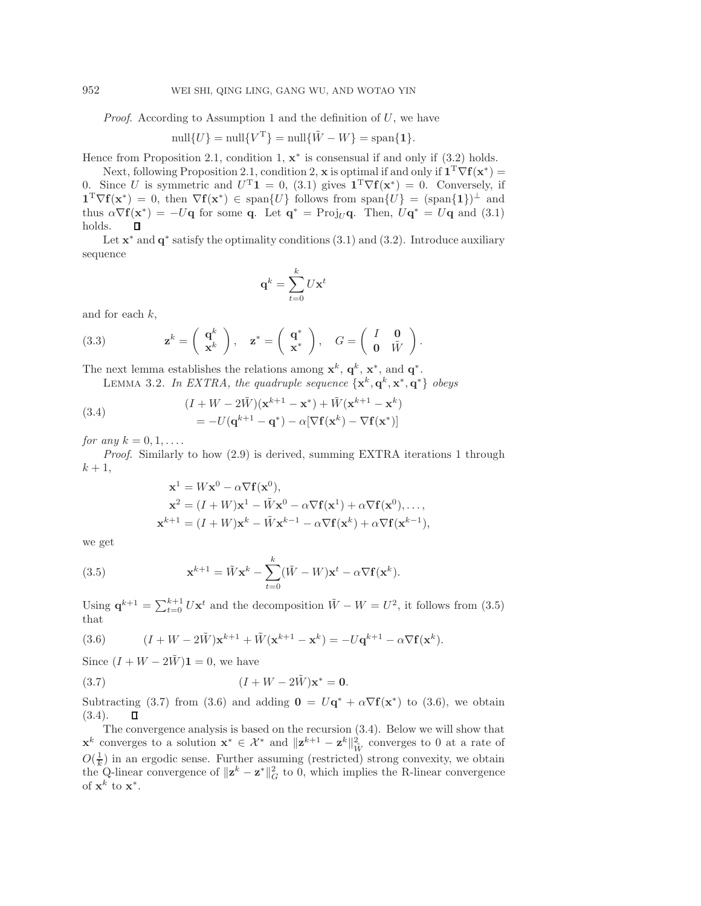*Proof*. According to Assumption [1](#page-5-1) and the definition of U, we have

$$
\text{null}\{U\} = \text{null}\{V^{\text{T}}\} = \text{null}\{\tilde{W} - W\} = \text{span}\{\mathbf{1}\}.
$$

Hence from Proposition [2.1,](#page-4-0) condition 1,  $x^*$  is consensual if and only if  $(3.2)$  holds.

Next, following Proposition [2.1,](#page-4-0) condition 2, **x** is optimal if and only if  $\mathbf{1}^T \nabla f(\mathbf{x}^*)$  = 0. Since U is symmetric and  $U^{T}$ **1** = 0, [\(3.1\)](#page-7-4) gives  $\mathbf{1}^{T}\nabla f(\mathbf{x}^{*}) = 0$ . Conversely, if  $\mathbf{1}^T \nabla f(\mathbf{x}^*) = 0$ , then  $\nabla f(\mathbf{x}^*) \in \text{span}\{U\}$  follows from span $\{U\} = (\text{span}\{\mathbf{1}\})^{\perp}$  and thus  $\alpha \nabla f(\mathbf{x}^*) = -U\mathbf{q}$  for some **q**. Let  $\mathbf{q}^* = \text{Proj}_U \mathbf{q}$ . Then,  $U\mathbf{q}^* = U\mathbf{q}$  and [\(3.1\)](#page-7-4) holds. п

Let **x**<sup>∗</sup> and **q**<sup>∗</sup> satisfy the optimality conditions [\(3.1\)](#page-7-4) and [\(3.2\)](#page-7-4). Introduce auxiliary sequence

<span id="page-8-3"></span>
$$
\mathbf{q}^k = \sum_{t=0}^k U\mathbf{x}^t
$$

and for each  $k$ ,

(3.3) 
$$
\mathbf{z}^k = \begin{pmatrix} \mathbf{q}^k \\ \mathbf{x}^k \end{pmatrix}, \quad \mathbf{z}^* = \begin{pmatrix} \mathbf{q}^* \\ \mathbf{x}^* \end{pmatrix}, \quad G = \begin{pmatrix} I & \mathbf{0} \\ \mathbf{0} & \tilde{W} \end{pmatrix}.
$$

<span id="page-8-4"></span>The next lemma establishes the relations among  $\mathbf{x}^k$ ,  $\mathbf{q}^k$ ,  $\mathbf{x}^*$ , and  $\mathbf{q}^*$ .

LEMMA 3.2. *In EXTRA, the quadruple sequence*  $\{x^k, q^k, x^*, q^*\}$  *obeys* 

(3.4) 
$$
(I + W - 2\tilde{W})(\mathbf{x}^{k+1} - \mathbf{x}^*) + \tilde{W}(\mathbf{x}^{k+1} - \mathbf{x}^k)
$$

$$
= -U(\mathbf{q}^{k+1} - \mathbf{q}^*) - \alpha[\nabla \mathbf{f}(\mathbf{x}^k) - \nabla \mathbf{f}(\mathbf{x}^*)]
$$

*for any*  $k = 0, 1, \ldots$ 

*Proof*. Similarly to how [\(2.9\)](#page-4-4) is derived, summing EXTRA iterations 1 through  $k+1$ ,

$$
\mathbf{x}^{1} = W\mathbf{x}^{0} - \alpha \nabla \mathbf{f}(\mathbf{x}^{0}),
$$
  
\n
$$
\mathbf{x}^{2} = (I + W)\mathbf{x}^{1} - \tilde{W}\mathbf{x}^{0} - \alpha \nabla \mathbf{f}(\mathbf{x}^{1}) + \alpha \nabla \mathbf{f}(\mathbf{x}^{0}),...,
$$
  
\n
$$
\mathbf{x}^{k+1} = (I + W)\mathbf{x}^{k} - \tilde{W}\mathbf{x}^{k-1} - \alpha \nabla \mathbf{f}(\mathbf{x}^{k}) + \alpha \nabla \mathbf{f}(\mathbf{x}^{k-1}),
$$

<span id="page-8-0"></span>we get

(3.5) 
$$
\mathbf{x}^{k+1} = \tilde{W}\mathbf{x}^k - \sum_{t=0}^k (\tilde{W} - W)\mathbf{x}^t - \alpha \nabla \mathbf{f}(\mathbf{x}^k).
$$

<span id="page-8-2"></span>Using  $\mathbf{q}^{k+1} = \sum_{t=0}^{k+1} U\mathbf{x}^t$  and the decomposition  $\tilde{W} - W = U^2$ , it follows from [\(3.5\)](#page-8-0) that

(3.6) 
$$
(I + W - 2\tilde{W})\mathbf{x}^{k+1} + \tilde{W}(\mathbf{x}^{k+1} - \mathbf{x}^k) = -U\mathbf{q}^{k+1} - \alpha \nabla \mathbf{f}(\mathbf{x}^k).
$$

Since  $(I + W - 2\tilde{W})\mathbf{1} = 0$ , we have

<span id="page-8-1"></span>(3.7) 
$$
(I + W - 2\tilde{W})\mathbf{x}^* = \mathbf{0}.
$$

Subtracting [\(3.7\)](#page-8-1) from [\(3.6\)](#page-8-2) and adding  $\mathbf{0} = U\mathbf{q}^* + \alpha \nabla f(\mathbf{x}^*)$  to (3.6), we obtain [\(3.4\)](#page-8-3).  $\Box$ 

The convergence analysis is based on the recursion [\(3.4\)](#page-8-3). Below we will show that **x**<sup>k</sup> converges to a solution **x**<sup>\*</sup> ∈  $\mathcal{X}^*$  and  $\|\mathbf{z}^{k+1} - \mathbf{z}^k\|_{\tilde{W}}^2$  converges to 0 at a rate of  $O(\frac{1}{k})$  in an ergodic sense. Further assuming (restricted) strong convexity, we obtain the Q-linear convergence of  $\|\mathbf{z}^k - \mathbf{z}^*\|_G^2$  to 0, which implies the R-linear convergence of  $\mathbf{x}^k$  to  $\mathbf{x}^*$ .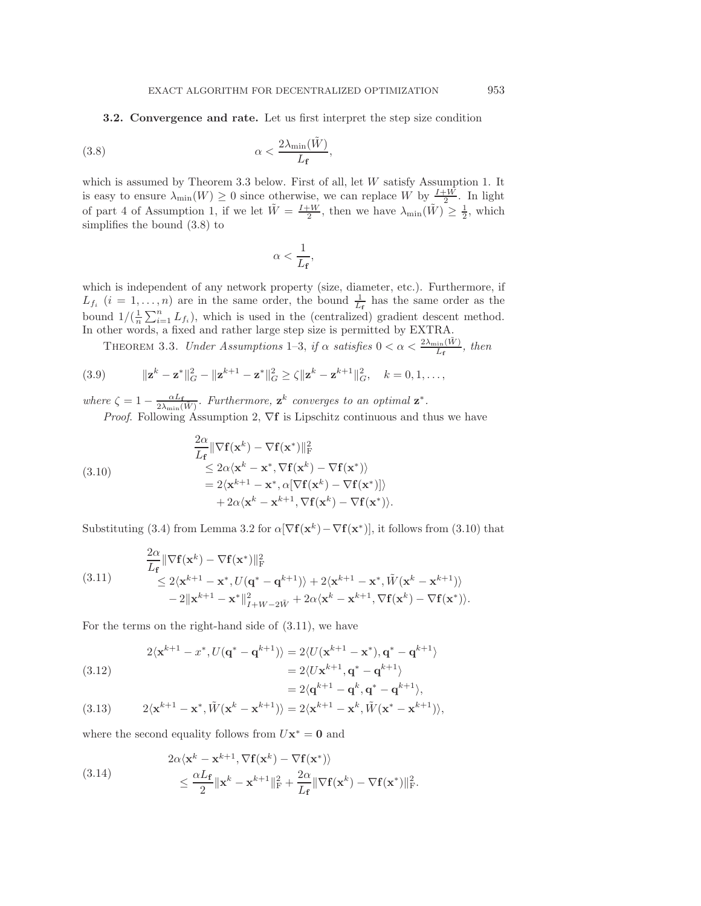<span id="page-9-7"></span>**3.2. Convergence and rate.** Let us first interpret the step size condition

(3.8) 
$$
\alpha < \frac{2\lambda_{\min}(\tilde{W})}{L_{\mathbf{f}}},
$$

which is assumed by Theorem [3.3](#page-9-1) below. First of all, let W satisfy Assumption [1.](#page-5-1) It is easy to ensure  $\lambda_{\min}(W) \geq 0$  since otherwise, we can replace W by  $\frac{I+W}{2}$ . In light of part 4 of Assumption [1,](#page-5-1) if we let  $\tilde{W} = \frac{I+W}{2}$ , then we have  $\lambda_{\min}(\tilde{W}) \geq \frac{1}{2}$ , which simplifies the bound [\(3.8\)](#page-9-0) to

<span id="page-9-6"></span><span id="page-9-3"></span><span id="page-9-2"></span><span id="page-9-0"></span>
$$
\alpha < \frac{1}{L_{\mathbf{f}}},
$$

which is independent of any network property (size, diameter, etc.). Furthermore, if  $L_{f_i}$   $(i = 1, \ldots, n)$  are in the same order, the bound  $\frac{1}{L_f}$  has the same order as the bound  $1/(\frac{1}{n}\sum_{i=1}^{n}L_{f_i})$ , which is used in the (centralized) gradient descent method. In other words, a fixed and rather large step size is permitted by EXTRA.

<span id="page-9-1"></span>THEOREM 3.3. *Under Assumptions* [1](#page-5-1)[–3,](#page-7-2) *if*  $\alpha$  *satisfies*  $0 < \alpha < \frac{2\lambda_{\min}(\tilde{W})}{L_f}$ , *then* 

(3.9) 
$$
\|\mathbf{z}^{k} - \mathbf{z}^{*}\|_{G}^{2} - \|\mathbf{z}^{k+1} - \mathbf{z}^{*}\|_{G}^{2} \geq \zeta \|\mathbf{z}^{k} - \mathbf{z}^{k+1}\|_{G}^{2}, \quad k = 0, 1, ...,
$$

where  $\zeta = 1 - \frac{\alpha L_f}{2\lambda_{\min}(\tilde{W})}$ . Furthermore,  $\mathbf{z}^k$  converges to an optimal  $\mathbf{z}^*$ . *Proof.* Following Assumption [2,](#page-7-3)  $∇f$  is Lipschitz continuous and thus we have

(3.10)  
\n
$$
\frac{2\alpha}{L_{\mathbf{f}}} \|\nabla \mathbf{f}(\mathbf{x}^{k}) - \nabla \mathbf{f}(\mathbf{x}^{*})\|_{\mathrm{F}}^{2}
$$
\n
$$
\leq 2\alpha \langle \mathbf{x}^{k} - \mathbf{x}^{*}, \nabla \mathbf{f}(\mathbf{x}^{k}) - \nabla \mathbf{f}(\mathbf{x}^{*}) \rangle
$$
\n
$$
= 2 \langle \mathbf{x}^{k+1} - \mathbf{x}^{*}, \alpha [\nabla \mathbf{f}(\mathbf{x}^{k}) - \nabla \mathbf{f}(\mathbf{x}^{*})] \rangle
$$
\n
$$
+ 2\alpha \langle \mathbf{x}^{k} - \mathbf{x}^{k+1}, \nabla \mathbf{f}(\mathbf{x}^{k}) - \nabla \mathbf{f}(\mathbf{x}^{*}) \rangle.
$$

Substituting [\(3.4\)](#page-8-3) from Lemma [3.2](#page-8-4) for  $\alpha[\nabla f(\mathbf{x}^k)-\nabla f(\mathbf{x}^*)]$ , it follows from [\(3.10\)](#page-9-2) that

(3.11) 
$$
\frac{2\alpha}{L_{\mathbf{f}}} \|\nabla \mathbf{f}(\mathbf{x}^{k}) - \nabla \mathbf{f}(\mathbf{x}^{*})\|_{\mathrm{F}}^{2}
$$

$$
\leq 2\langle \mathbf{x}^{k+1} - \mathbf{x}^{*}, U(\mathbf{q}^{*} - \mathbf{q}^{k+1}) \rangle + 2\langle \mathbf{x}^{k+1} - \mathbf{x}^{*}, \tilde{W}(\mathbf{x}^{k} - \mathbf{x}^{k+1}) \rangle - 2\|\mathbf{x}^{k+1} - \mathbf{x}^{*}\|_{I+W-2\tilde{W}}^{2} + 2\alpha\langle \mathbf{x}^{k} - \mathbf{x}^{k+1}, \nabla \mathbf{f}(\mathbf{x}^{k}) - \nabla \mathbf{f}(\mathbf{x}^{*}) \rangle.
$$

For the terms on the right-hand side of [\(3.11\)](#page-9-3), we have

<span id="page-9-4"></span>(3.12)  
\n
$$
2\langle \mathbf{x}^{k+1} - x^*, U(\mathbf{q}^* - \mathbf{q}^{k+1}) \rangle = 2\langle U(\mathbf{x}^{k+1} - \mathbf{x}^*), \mathbf{q}^* - \mathbf{q}^{k+1} \rangle
$$
\n
$$
= 2\langle U\mathbf{x}^{k+1}, \mathbf{q}^* - \mathbf{q}^{k+1} \rangle
$$
\n
$$
= 2\langle \mathbf{q}^{k+1} - \mathbf{q}^k, \mathbf{q}^* - \mathbf{q}^{k+1} \rangle,
$$

(3.13) 
$$
2\langle \mathbf{x}^{k+1}-\mathbf{x}^*, \tilde{W}(\mathbf{x}^k-\mathbf{x}^{k+1})\rangle = 2\langle \mathbf{x}^{k+1}-\mathbf{x}^k, \tilde{W}(\mathbf{x}^*-\mathbf{x}^{k+1})\rangle,
$$

where the second equality follows from  $U\mathbf{x}^* = \mathbf{0}$  and

<span id="page-9-5"></span>(3.14) 
$$
2\alpha \langle \mathbf{x}^k - \mathbf{x}^{k+1}, \nabla \mathbf{f}(\mathbf{x}^k) - \nabla \mathbf{f}(\mathbf{x}^*) \rangle \n\leq \frac{\alpha L_{\mathbf{f}}}{2} ||\mathbf{x}^k - \mathbf{x}^{k+1}||^2_{\mathbf{F}} + \frac{2\alpha}{L_{\mathbf{f}}} ||\nabla \mathbf{f}(\mathbf{x}^k) - \nabla \mathbf{f}(\mathbf{x}^*)||^2_{\mathbf{F}}.
$$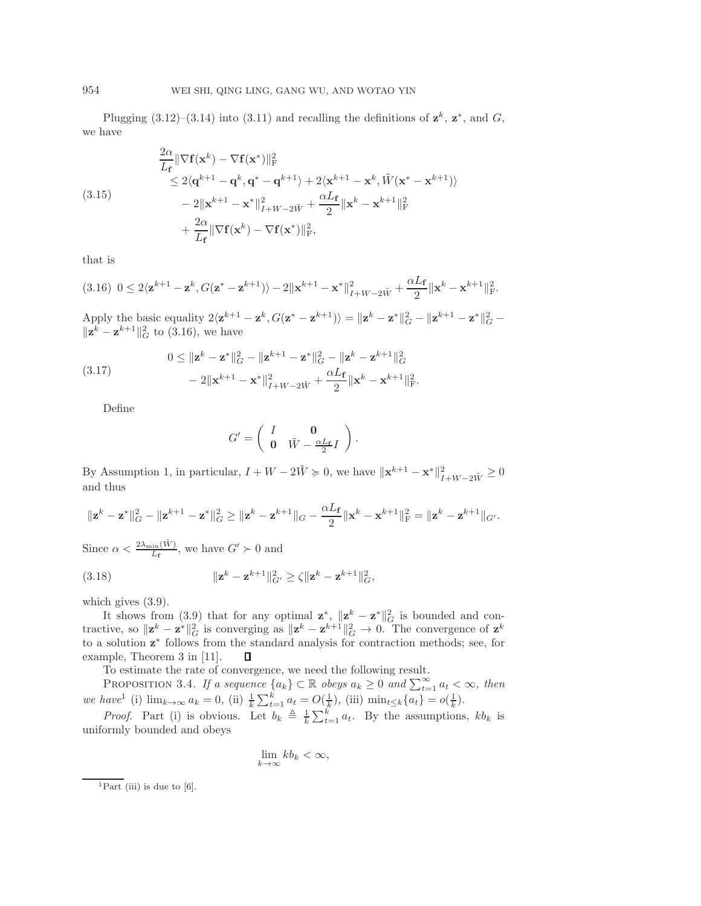Plugging  $(3.12)$ – $(3.14)$  into  $(3.11)$  and recalling the definitions of  $z^k$ ,  $z^*$ , and  $G$ , we have

$$
\frac{2\alpha}{L_{\mathbf{f}}} \|\nabla \mathbf{f}(\mathbf{x}^{k}) - \nabla \mathbf{f}(\mathbf{x}^{*})\|_{\mathrm{F}}^{2}
$$
\n
$$
\leq 2\langle \mathbf{q}^{k+1} - \mathbf{q}^{k}, \mathbf{q}^{*} - \mathbf{q}^{k+1} \rangle + 2\langle \mathbf{x}^{k+1} - \mathbf{x}^{k}, \tilde{W}(\mathbf{x}^{*} - \mathbf{x}^{k+1}) \rangle
$$
\n
$$
- 2\|\mathbf{x}^{k+1} - \mathbf{x}^{*}\|_{I+W-2\tilde{W}}^{2} + \frac{\alpha L_{\mathbf{f}}}{2}\|\mathbf{x}^{k} - \mathbf{x}^{k+1}\|_{\mathrm{F}}^{2}
$$
\n
$$
+ \frac{2\alpha}{L_{\mathbf{f}}} \|\nabla \mathbf{f}(\mathbf{x}^{k}) - \nabla \mathbf{f}(\mathbf{x}^{*})\|_{\mathrm{F}}^{2},
$$

<span id="page-10-0"></span>that is

 $($ 

$$
(3.16) \ \ 0 \leq 2\langle \mathbf{z}^{k+1} - \mathbf{z}^k, G(\mathbf{z}^* - \mathbf{z}^{k+1})\rangle - 2\|\mathbf{x}^{k+1} - \mathbf{x}^*\|_{I+W-2\tilde{W}}^2 + \frac{\alpha L_f}{2}\|\mathbf{x}^k - \mathbf{x}^{k+1}\|_{\mathrm{F}}^2.
$$

Apply the basic equality  $2\langle \mathbf{z}^{k+1} - \mathbf{z}^k, G(\mathbf{z}^* - \mathbf{z}^{k+1}) \rangle = ||\mathbf{z}^k - \mathbf{z}^*||_G^2 - ||\mathbf{z}^{k+1} - \mathbf{z}^*||_G^2$  $\|\mathbf{z}^k - \mathbf{z}^{k+1}\|_G^2$  to [\(3.16\)](#page-10-0), we have

(3.17) 
$$
0 \le ||\mathbf{z}^{k} - \mathbf{z}^{*}||_{G}^{2} - ||\mathbf{z}^{k+1} - \mathbf{z}^{*}||_{G}^{2} - ||\mathbf{z}^{k} - \mathbf{z}^{k+1}||_{G}^{2} - 2||\mathbf{x}^{k+1} - \mathbf{x}^{*}||_{I+W-2\tilde{W}}^{2} + \frac{\alpha L_{\mathbf{f}}}{2}||\mathbf{x}^{k} - \mathbf{x}^{k+1}||_{F}^{2}.
$$

Define

$$
G' = \left(\begin{array}{cc} I & \mathbf{0} \\ \mathbf{0} & \tilde{W} - \frac{\alpha L_{\mathbf{f}}}{2}I \end{array}\right)
$$

.

By Assumption [1,](#page-5-1) in particular,  $I + W - 2\tilde{W} \ge 0$ , we have  $\|\mathbf{x}^{k+1} - \mathbf{x}^*\|_{I+W-2\tilde{W}}^2 \ge 0$ and thus

$$
\|\mathbf{z}^{k} - \mathbf{z}^{*}\|_{G}^{2} - \|\mathbf{z}^{k+1} - \mathbf{z}^{*}\|_{G}^{2} \ge \|\mathbf{z}^{k} - \mathbf{z}^{k+1}\|_{G} - \frac{\alpha L_{\mathbf{f}}}{2}\|\mathbf{x}^{k} - \mathbf{x}^{k+1}\|_{F}^{2} = \|\mathbf{z}^{k} - \mathbf{z}^{k+1}\|_{G'}.
$$

Since  $\alpha < \frac{2\lambda_{\min}(\tilde{W})}{L_f}$ , we have  $G' \succ 0$  and

(3.18) 
$$
\|\mathbf{z}^{k} - \mathbf{z}^{k+1}\|_{G'}^2 \ge \zeta \|\mathbf{z}^{k} - \mathbf{z}^{k+1}\|_{G'}^2,
$$

which gives  $(3.9)$ .

It shows from [\(3.9\)](#page-9-6) that for any optimal  $\mathbf{z}^*$ ,  $\|\mathbf{z}^k - \mathbf{z}^*\|^2$  is bounded and contractive, so  $\|\mathbf{z}^k - \mathbf{z}^*\|_G^2$  is converging as  $\|\mathbf{z}^k - \mathbf{z}^{k+1}\|_G^2 \to 0$ . The convergence of  $\mathbf{z}^k$ to a solution **z**<sup>∗</sup> follows from the standard analysis for contraction methods; see, for example, Theorem 3 in [\[11\]](#page-21-25). П

To estimate the rate of convergence, we need the following result.

<span id="page-10-2"></span>PROPOSITION 3.4. *If a sequence*  $\{a_k\} \subset \mathbb{R}$  *obeys*  $a_k \geq 0$  *and*  $\sum_{t=1}^{\infty} a_t < \infty$ *, then we have*<sup>[1](#page-10-1)</sup> (i)  $\lim_{k \to \infty} a_k = 0$ , (ii)  $\frac{1}{k} \sum_{t=1}^k a_t = O(\frac{1}{k})$ , (iii)  $\min_{t \leq k} \{a_t\} = o(\frac{1}{k})$ .

*Proof.* Part (i) is obvious. Let  $b_k \triangleq \frac{1}{k} \sum_{t=1}^k a_t$ . By the assumptions,  $kb_k$  is uniformly bounded and obeys

$$
\lim_{k \to \infty} k b_k < \infty,
$$

<span id="page-10-1"></span><sup>&</sup>lt;sup>1</sup>Part (iii) is due to [\[6\]](#page-21-26).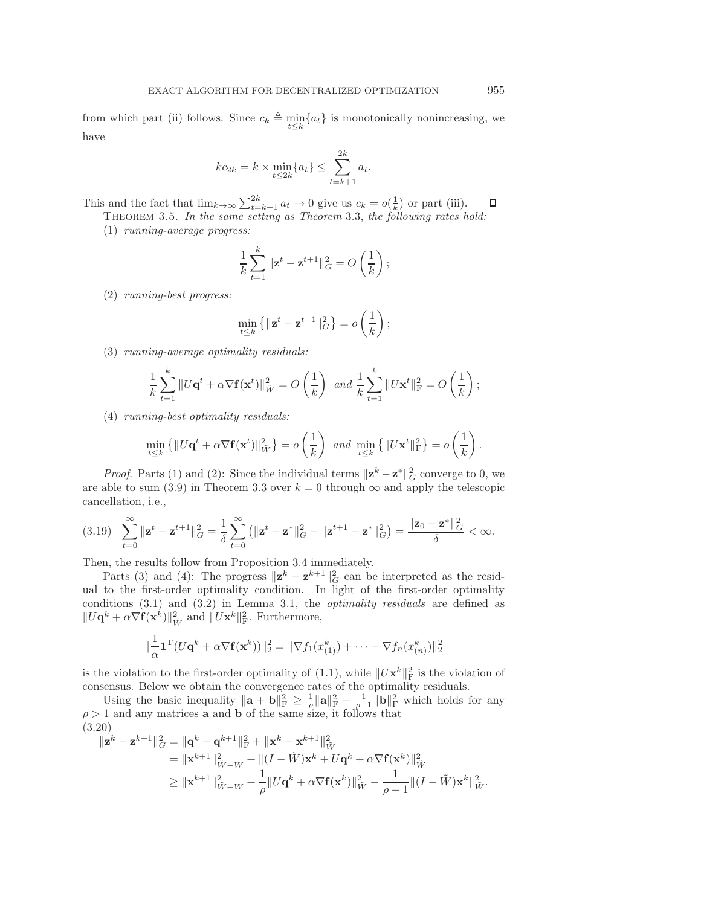from which part (ii) follows. Since  $c_k \triangleq \min_{t \leq k} \{a_t\}$  is monotonically nonincreasing, we have

$$
kc_{2k} = k \times \min_{t \le 2k} \{a_t\} \le \sum_{t=k+1}^{2k} a_t.
$$

<span id="page-11-2"></span>This and the fact that  $\lim_{k\to\infty}\sum_{t=k+1}^{2k} a_t \to 0$  give us  $c_k = o(\frac{1}{k})$  or part (iii).  $\Box$ Theorem 3.5. *In the same setting as Theorem* [3.3,](#page-9-1) *the following rates hold:*

(1) *running-average progress:*

$$
\frac{1}{k}\sum_{t=1}^{k}||\mathbf{z}^{t} - \mathbf{z}^{t+1}||_{G}^{2} = O\left(\frac{1}{k}\right);
$$

(2) *running-best progress:*

$$
\min_{t \leq k} \left\{ \|\mathbf{z}^t - \mathbf{z}^{t+1}\|_G^2 \right\} = o\left(\frac{1}{k}\right);
$$

(3) *running-average optimality residuals:*

$$
\frac{1}{k}\sum_{t=1}^k\|U\mathbf{q}^t+\alpha\nabla\mathbf{f}(\mathbf{x}^t)\|_{\tilde{W}}^2=O\left(\frac{1}{k}\right) \text{ and } \frac{1}{k}\sum_{t=1}^k\|U\mathbf{x}^t\|_{\mathrm{F}}^2=O\left(\frac{1}{k}\right);
$$

(4) *running-best optimality residuals:*

<span id="page-11-1"></span>
$$
\min_{t\leq k} \left\{ \|U\mathbf{q}^t + \alpha \nabla \mathbf{f}(\mathbf{x}^t)\|_{\tilde{W}}^2 \right\} = o\left(\frac{1}{k}\right) \text{ and } \min_{t\leq k} \left\{ \|U\mathbf{x}^t\|_{\text{F}}^2 \right\} = o\left(\frac{1}{k}\right).
$$

*Proof.* Parts (1) and (2): Since the individual terms  $\|\mathbf{z}^k - \mathbf{z}^*\|_G^2$  converge to 0, we are able to sum [\(3.9\)](#page-9-6) in Theorem [3.3](#page-9-1) over  $k = 0$  through  $\infty$  and apply the telescopic cancellation, i.e.,

$$
(3.19) \quad \sum_{t=0}^{\infty} \|\mathbf{z}^{t} - \mathbf{z}^{t+1}\|_{G}^{2} = \frac{1}{\delta} \sum_{t=0}^{\infty} \left( \|\mathbf{z}^{t} - \mathbf{z}^{*}\|_{G}^{2} - \|\mathbf{z}^{t+1} - \mathbf{z}^{*}\|_{G}^{2} \right) = \frac{\|\mathbf{z}_{0} - \mathbf{z}^{*}\|_{G}^{2}}{\delta} < \infty.
$$

Then, the results follow from Proposition [3.4](#page-10-2) immediately.

Parts (3) and (4): The progress  $\|\mathbf{z}^k - \mathbf{z}^{k+1}\|_G^2$  can be interpreted as the residual to the first-order optimality condition. In light of the first-order optimality conditions [\(3.1\)](#page-7-4) and [\(3.2\)](#page-7-4) in Lemma [3.1,](#page-7-4) the *optimality residuals* are defined as  $||U\mathbf{q}^k + \alpha \nabla \mathbf{f}(\mathbf{x}^k)||_{\tilde{W}}^2$  and  $||U\mathbf{x}^k||_{\text{F}}^2$ . Furthermore,

<span id="page-11-0"></span>
$$
\|\frac{1}{\alpha}\mathbf{1}^{\mathrm{T}}(U\mathbf{q}^k + \alpha \nabla \mathbf{f}(\mathbf{x}^k))\|_2^2 = \|\nabla f_1(x_{(1)}^k) + \cdots + \nabla f_n(x_{(n)}^k)\|_2^2
$$

is the violation to the first-order optimality of  $(1.1)$ , while  $||U\mathbf{x}^k||_F^2$  is the violation of consensus. Below we obtain the convergence rates of the optimality residuals.

Using the basic inequality  $\|\mathbf{a} + \mathbf{b}\|_{\text{F}}^2 \geq \frac{1}{\rho} \|\mathbf{a}\|_{\text{F}}^2 - \frac{1}{\rho-1} \|\mathbf{b}\|_{\text{F}}^2$  which holds for any  $\rho > 1$  and any matrices **a** and **b** of the same size, it follows that  $(3.20)$ 

$$
\| \mathbf{z}^{k} - \mathbf{z}^{k+1} \|_{G}^{2} = \| \mathbf{q}^{k} - \mathbf{q}^{k+1} \|_{\mathrm{F}}^{2} + \| \mathbf{x}^{k} - \mathbf{x}^{k+1} \|_{\tilde{W}}^{2}
$$
  
\n
$$
= \| \mathbf{x}^{k+1} \|_{\tilde{W}-W}^{2} + \| (I - \tilde{W}) \mathbf{x}^{k} + U \mathbf{q}^{k} + \alpha \nabla \mathbf{f}(\mathbf{x}^{k}) \|_{\tilde{W}}^{2}
$$
  
\n
$$
\geq \| \mathbf{x}^{k+1} \|_{\tilde{W}-W}^{2} + \frac{1}{\rho} \| U \mathbf{q}^{k} + \alpha \nabla \mathbf{f}(\mathbf{x}^{k}) \|_{\tilde{W}}^{2} - \frac{1}{\rho - 1} \| (I - \tilde{W}) \mathbf{x}^{k} \|_{\tilde{W}}^{2}.
$$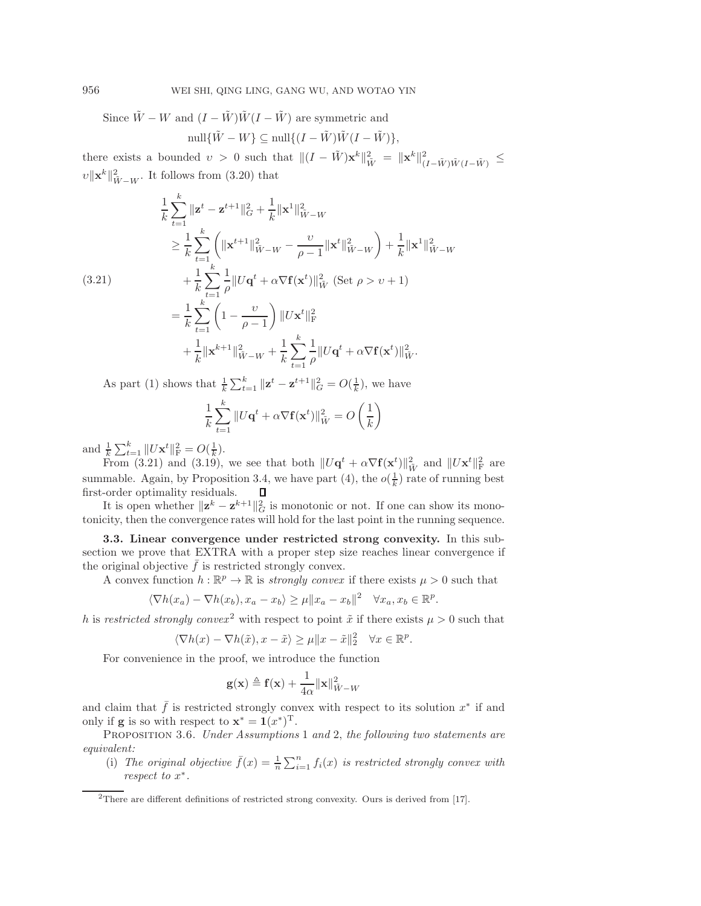<span id="page-12-0"></span>Since  $\tilde{W} - W$  and  $(I - \tilde{W})\tilde{W}(I - \tilde{W})$  are symmetric and null $\{\tilde{W} - W\} \subseteq \text{null}\{(I - \tilde{W})\tilde{W}(I - \tilde{W})\},\$ 

there exists a bounded  $v > 0$  such that  $||(I - \tilde{W})\mathbf{x}^k||^2_{\tilde{W}} = ||\mathbf{x}^k||^2_{(I - \tilde{W})\tilde{W}(I - \tilde{W})} \le$  $\|v\|\mathbf{x}^k\|^2_{\tilde{W}-W}$ . It follows from [\(3.20\)](#page-11-0) that

$$
\frac{1}{k} \sum_{t=1}^{k} \|\mathbf{z}^{t} - \mathbf{z}^{t+1}\|_{G}^{2} + \frac{1}{k} \|\mathbf{x}^{1}\|_{\tilde{W}-W}^{2}
$$
\n
$$
\geq \frac{1}{k} \sum_{t=1}^{k} \left( \|\mathbf{x}^{t+1}\|_{\tilde{W}-W}^{2} - \frac{\upsilon}{\rho - 1} \|\mathbf{x}^{t}\|_{\tilde{W}-W}^{2} \right) + \frac{1}{k} \|\mathbf{x}^{1}\|_{\tilde{W}-W}^{2}
$$
\n(3.21)\n
$$
+ \frac{1}{k} \sum_{t=1}^{k} \frac{1}{\rho} \|U\mathbf{q}^{t} + \alpha \nabla \mathbf{f}(\mathbf{x}^{t})\|_{\tilde{W}}^{2} \text{ (Set } \rho > \upsilon + 1)
$$
\n
$$
= \frac{1}{k} \sum_{t=1}^{k} \left(1 - \frac{\upsilon}{\rho - 1}\right) \|U\mathbf{x}^{t}\|_{\text{F}}^{2}
$$
\n
$$
+ \frac{1}{k} \|\mathbf{x}^{k+1}\|_{\tilde{W}-W}^{2} + \frac{1}{k} \sum_{t=1}^{k} \frac{1}{\rho} \|U\mathbf{q}^{t} + \alpha \nabla \mathbf{f}(\mathbf{x}^{t})\|_{\tilde{W}}^{2}.
$$

As part (1) shows that  $\frac{1}{k} \sum_{t=1}^{k} ||\mathbf{z}^{t} - \mathbf{z}^{t+1}||_{G}^{2} = O(\frac{1}{k}),$  we have

$$
\frac{1}{k}\sum_{t=1}^{k}||U\mathbf{q}^{t} + \alpha \nabla \mathbf{f}(\mathbf{x}^{t})||_{\tilde{W}}^{2} = O\left(\frac{1}{k}\right)
$$

and  $\frac{1}{k} \sum_{t=1}^{k} ||U \mathbf{x}^{t}||_{\text{F}}^{2} = O(\frac{1}{k}).$ 

From [\(3.21\)](#page-12-0) and [\(3.19\)](#page-11-1), we see that both  $||U\mathbf{q}^t + \alpha \nabla \mathbf{f}(\mathbf{x}^t)||_W^2$  and  $||U\mathbf{x}^t||_F^2$  are summable. Again, by Proposition [3.4,](#page-10-2) we have part (4), the  $o(\frac{1}{k})$  rate of running best first-order optimality residuals. Д

It is open whether  $\|\mathbf{z}^k - \mathbf{z}^{k+1}\|_G^2$  is monotonic or not. If one can show its monotonicity, then the convergence rates will hold for the last point in the running sequence.

**3.3. Linear convergence under restricted strong convexity.** In this subsection we prove that EXTRA with a proper step size reaches linear convergence if the original objective  $\bar{f}$  is restricted strongly convex.

A convex function  $h : \mathbb{R}^p \to \mathbb{R}$  is *strongly convex* if there exists  $\mu > 0$  such that

$$
\langle \nabla h(x_a) - \nabla h(x_b), x_a - x_b \rangle \ge \mu \|x_a - x_b\|^2 \quad \forall x_a, x_b \in \mathbb{R}^p.
$$

h is *restricted strongly convex*<sup>[2](#page-12-1)</sup> with respect to point  $\tilde{x}$  if there exists  $\mu > 0$  such that

$$
\langle \nabla h(x) - \nabla h(\tilde{x}), x - \tilde{x} \rangle \ge \mu \|x - \tilde{x}\|_2^2 \quad \forall x \in \mathbb{R}^p.
$$

For convenience in the proof, we introduce the function

$$
\mathbf{g}(\mathbf{x}) \triangleq \mathbf{f}(\mathbf{x}) + \frac{1}{4\alpha} ||\mathbf{x}||_{\tilde{W}-W}^2
$$

and claim that  $\bar{f}$  is restricted strongly convex with respect to its solution  $x^*$  if and only if **g** is so with respect to  $\mathbf{x}^* = \mathbf{1}(x^*)^T$ .

<span id="page-12-2"></span>Proposition 3.6. *Under Assumptions* [1](#page-5-1) *and* [2,](#page-7-3) *the following two statements are equivalent:*

(i) The original objective  $\bar{f}(x) = \frac{1}{n} \sum_{i=1}^{n} f_i(x)$  is restricted strongly convex with *respect to*  $x^*$ *.* 

<span id="page-12-1"></span><sup>&</sup>lt;sup>2</sup>There are different definitions of restricted strong convexity. Ours is derived from [\[17\]](#page-21-27).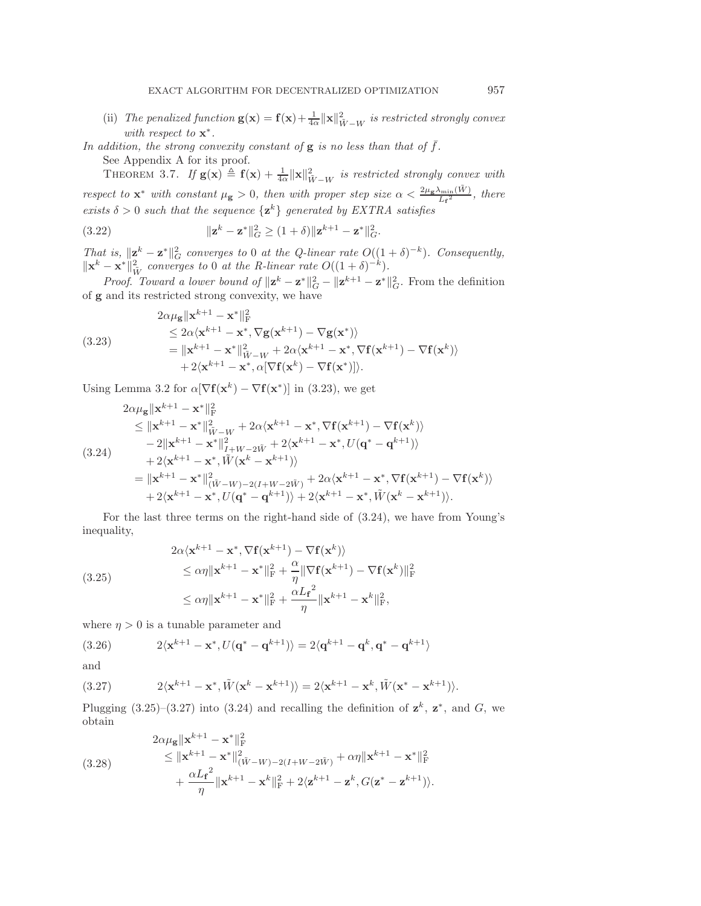- <span id="page-13-5"></span>(ii) *The penalized function*  $\mathbf{g}(\mathbf{x}) = \mathbf{f}(\mathbf{x}) + \frac{1}{4\alpha} ||\mathbf{x}||^2_{\tilde{W}-W}$  *is restricted strongly convex with respect to* **x**∗*.*
- In addition, the strong convexity constant of  $g$  is no less than that of  $\bar{f}$ . See Appendix [A](#page-19-0) for its proof.

<span id="page-13-6"></span>THEOREM 3.7. If  $g(x) \triangleq f(x) + \frac{1}{4\alpha} ||x||^2_{\tilde{W}-W}$  is restricted strongly convex with *respect to*  $\mathbf{x}^*$  *with constant*  $\mu_{\mathbf{g}} > 0$ , then with proper step size  $\alpha < \frac{2\mu_{\mathbf{g}}\lambda_{\min}(\tilde{W})}{L_f^2}$ , there *exists*  $\delta > 0$  *such that the sequence*  $\{z^k\}$  *generated by EXTRA satisfies* 

(3.22) 
$$
\| \mathbf{z}^{k} - \mathbf{z}^* \|_{G}^2 \ge (1 + \delta) \| \mathbf{z}^{k+1} - \mathbf{z}^* \|_{G}^2.
$$

*That is,*  $\|\mathbf{z}^k - \mathbf{z}^*\|^2_G$  *converges to* 0 *at the Q-linear rate*  $O((1+\delta)^{-k})$ *. Consequently,*  $\|\mathbf{x}^k - \mathbf{x}^*\|_{\tilde{W}}^2$  *converges to* 0 *at the R-linear rate*  $O((1+\delta)^{-k})$ *.* 

*Proof. Toward a lower bound of*  $\|\mathbf{z}^k - \mathbf{z}^*\|_G^2 - \|\mathbf{z}^{k+1} - \mathbf{z}^*\|_G^2$ . From the definition of **g** and its restricted strong convexity, we have

<span id="page-13-0"></span>(3.23)  
\n
$$
\leq 2\alpha \langle \mathbf{x}^{k+1} - \mathbf{x}^* \|_F^2
$$
\n
$$
\leq 2\alpha \langle \mathbf{x}^{k+1} - \mathbf{x}^*, \nabla \mathbf{g}(\mathbf{x}^{k+1}) - \nabla \mathbf{g}(\mathbf{x}^*) \rangle
$$
\n
$$
= \|\mathbf{x}^{k+1} - \mathbf{x}^* \|_{\tilde{W} - W}^2 + 2\alpha \langle \mathbf{x}^{k+1} - \mathbf{x}^*, \nabla \mathbf{f}(\mathbf{x}^{k+1}) - \nabla \mathbf{f}(\mathbf{x}^k) \rangle
$$
\n
$$
+ 2 \langle \mathbf{x}^{k+1} - \mathbf{x}^*, \alpha [\nabla \mathbf{f}(\mathbf{x}^k) - \nabla \mathbf{f}(\mathbf{x}^*)] \rangle.
$$

Using Lemma [3.2](#page-8-4) for  $\alpha[\nabla f(\mathbf{x}^k) - \nabla f(\mathbf{x}^*)]$  in [\(3.23\)](#page-13-0), we get

<span id="page-13-1"></span>
$$
2\alpha\mu_{\mathbf{g}}\|\mathbf{x}^{k+1} - \mathbf{x}^{*}\|_{\mathrm{F}}^{2}
$$
\n
$$
\leq \|\mathbf{x}^{k+1} - \mathbf{x}^{*}\|_{\tilde{W}-W}^{2} + 2\alpha\langle\mathbf{x}^{k+1} - \mathbf{x}^{*}, \nabla f(\mathbf{x}^{k+1}) - \nabla f(\mathbf{x}^{k})\rangle
$$
\n
$$
-2\|\mathbf{x}^{k+1} - \mathbf{x}^{*}\|_{I+W-2\tilde{W}}^{2} + 2\langle\mathbf{x}^{k+1} - \mathbf{x}^{*}, U(\mathbf{q}^{*} - \mathbf{q}^{k+1})\rangle
$$
\n
$$
+ 2\langle\mathbf{x}^{k+1} - \mathbf{x}^{*}, \tilde{W}(\mathbf{x}^{k} - \mathbf{x}^{k+1})\rangle
$$
\n
$$
= \|\mathbf{x}^{k+1} - \mathbf{x}^{*}\|_{(\tilde{W}-W)-2(I+W-2\tilde{W})}^{2} + 2\alpha\langle\mathbf{x}^{k+1} - \mathbf{x}^{*}, \nabla f(\mathbf{x}^{k+1}) - \nabla f(\mathbf{x}^{k})\rangle
$$
\n
$$
+ 2\langle\mathbf{x}^{k+1} - \mathbf{x}^{*}, U(\mathbf{q}^{*} - \mathbf{q}^{k+1})\rangle + 2\langle\mathbf{x}^{k+1} - \mathbf{x}^{*}, \tilde{W}(\mathbf{x}^{k} - \mathbf{x}^{k+1})\rangle.
$$

<span id="page-13-2"></span>For the last three terms on the right-hand side of [\(3.24\)](#page-13-1), we have from Young's inequality,

(3.25)  
\n
$$
\leq \alpha \eta \|\mathbf{x}^{k+1} - \mathbf{x}^*, \nabla \mathbf{f}(\mathbf{x}^{k+1}) - \nabla \mathbf{f}(\mathbf{x}^k) \rangle
$$
\n
$$
\leq \alpha \eta \|\mathbf{x}^{k+1} - \mathbf{x}^*\|_{\mathbf{F}}^2 + \frac{\alpha}{\eta} \|\nabla \mathbf{f}(\mathbf{x}^{k+1}) - \nabla \mathbf{f}(\mathbf{x}^k) \|_{\mathbf{F}}^2
$$
\n
$$
\leq \alpha \eta \|\mathbf{x}^{k+1} - \mathbf{x}^*\|_{\mathbf{F}}^2 + \frac{\alpha L_{\mathbf{f}}^2}{\eta} \|\mathbf{x}^{k+1} - \mathbf{x}^k\|_{\mathbf{F}}^2,
$$

where  $\eta > 0$  is a tunable parameter and

(3.26) 
$$
2\langle \mathbf{x}^{k+1}-\mathbf{x}^*, U(\mathbf{q}^*-\mathbf{q}^{k+1})\rangle = 2\langle \mathbf{q}^{k+1}-\mathbf{q}^k, \mathbf{q}^*-\mathbf{q}^{k+1}\rangle
$$

<span id="page-13-3"></span>and

(3.27) 
$$
2\langle \mathbf{x}^{k+1}-\mathbf{x}^*, \tilde{W}(\mathbf{x}^k-\mathbf{x}^{k+1})\rangle = 2\langle \mathbf{x}^{k+1}-\mathbf{x}^k, \tilde{W}(\mathbf{x}^*-\mathbf{x}^{k+1})\rangle.
$$

Plugging [\(3.25\)](#page-13-2)–[\(3.27\)](#page-13-3) into [\(3.24\)](#page-13-1) and recalling the definition of  $z^k$ ,  $z^*$ , and G, we obtain

<span id="page-13-4"></span>(3.28) 
$$
2\alpha\mu_{\mathbf{g}}\|\mathbf{x}^{k+1} - \mathbf{x}^*\|_{\mathbf{F}}^2 \n\leq \|\mathbf{x}^{k+1} - \mathbf{x}^*\|_{(\tilde{W} - W) - 2(I + W - 2\tilde{W})}^2 + \alpha\eta \|\mathbf{x}^{k+1} - \mathbf{x}^*\|_{\mathbf{F}}^2 \n+ \frac{\alpha L_f^2}{\eta} \|\mathbf{x}^{k+1} - \mathbf{x}^k\|_{\mathbf{F}}^2 + 2\langle \mathbf{z}^{k+1} - \mathbf{z}^k, G(\mathbf{z}^* - \mathbf{z}^{k+1})\rangle.
$$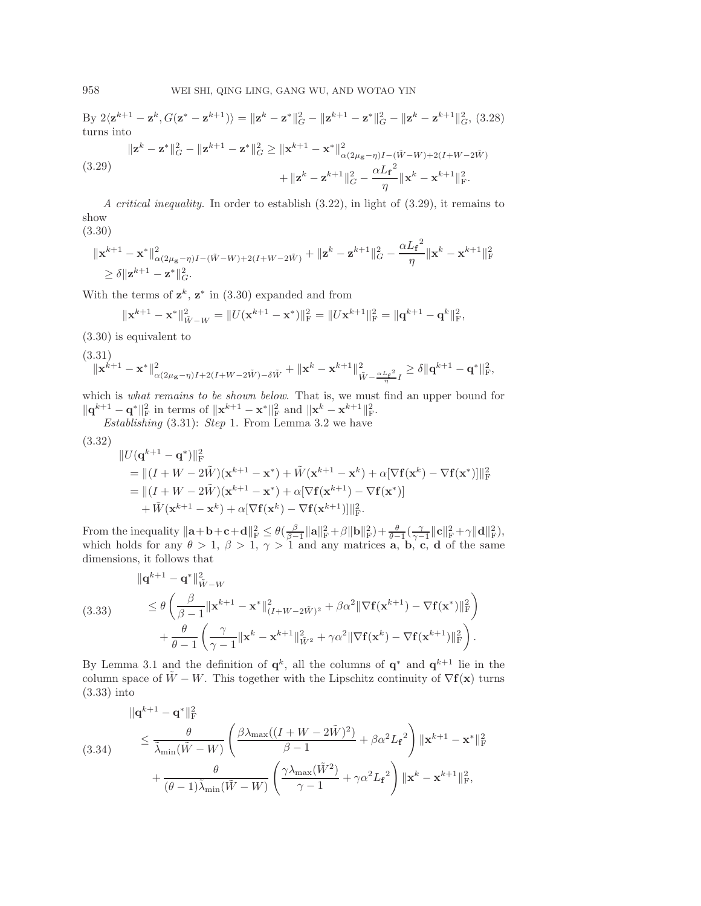$\text{By } 2\langle \mathbf{z}^{k+1} - \mathbf{z}^k, G(\mathbf{z}^* - \mathbf{z}^{k+1}) \rangle = \|\mathbf{z}^k - \mathbf{z}^*\|_G^2 - \|\mathbf{z}^{k+1} - \mathbf{z}^*\|_G^2 - \|\mathbf{z}^k - \mathbf{z}^{k+1}\|_G^2, (3.28)$  $\text{By } 2\langle \mathbf{z}^{k+1} - \mathbf{z}^k, G(\mathbf{z}^* - \mathbf{z}^{k+1}) \rangle = \|\mathbf{z}^k - \mathbf{z}^*\|_G^2 - \|\mathbf{z}^{k+1} - \mathbf{z}^*\|_G^2 - \|\mathbf{z}^k - \mathbf{z}^{k+1}\|_G^2, (3.28)$ turns into

<span id="page-14-0"></span>(3.29)  

$$
\|\mathbf{z}^{k} - \mathbf{z}^{*}\|_{G}^{2} - \|\mathbf{z}^{k+1} - \mathbf{z}^{*}\|_{G}^{2} \geq \|\mathbf{x}^{k+1} - \mathbf{x}^{*}\|_{\alpha(2\mu_{\mathbf{g}} - \eta)I - (\tilde{W} - W) + 2(I + W - 2\tilde{W})}^{2}
$$

$$
+ \|\mathbf{z}^{k} - \mathbf{z}^{k+1}\|_{G}^{2} - \frac{\alpha L_{\mathbf{f}}^{2}}{\eta} \|\mathbf{x}^{k} - \mathbf{x}^{k+1}\|_{F}^{2}.
$$

<span id="page-14-1"></span>*A critical inequality.* In order to establish [\(3.22\)](#page-13-5), in light of [\(3.29\)](#page-14-0), it remains to show

(3.30)

$$
\begin{aligned} &\|{\mathbf{x}}^{k+1}-{\mathbf{x}}^*\|^2_{\alpha(2\mu_{{\mathbf{g}}}-\eta)I-(\tilde{W}-W)+2(I+W-2\tilde{W})}+\|{\mathbf{z}}^k-{\mathbf{z}}^{k+1}\|^2_G-\frac{\alpha L_{\mathbf{f}}^2}{\eta}\|{\mathbf{x}}^k-{\mathbf{x}}^{k+1}\|^2_{\mathrm{F}}\\ &\geq \delta\|{\mathbf{z}}^{k+1}-{\mathbf{z}}^*\|^2_G. \end{aligned}
$$

With the terms of  $z^k$ ,  $z^*$  in [\(3.30\)](#page-14-1) expanded and from

<span id="page-14-2"></span>
$$
\|\mathbf{x}^{k+1}-\mathbf{x}^*\|_{\tilde{W}-W}^2 = \|U(\mathbf{x}^{k+1}-\mathbf{x}^*)\|_{\mathrm{F}}^2 = \|U\mathbf{x}^{k+1}\|_{\mathrm{F}}^2 = \|\mathbf{q}^{k+1}-\mathbf{q}^k\|_{\mathrm{F}}^2,
$$

[\(3.30\)](#page-14-1) is equivalent to

$$
\begin{array}{c} (3.31)\\ \|\mathbf{x}^{k+1}-\mathbf{x}^*\|^2_{\alpha(2\mu_{\mathbf{g}}-\eta)I+2(I+W-2\tilde{W})-\delta\tilde{W}}+\|\mathbf{x}^k-\mathbf{x}^{k+1}\|^2_{\tilde{W}-\frac{\alpha L_{\mathbf{f}}^2}{\eta}I}\geq \delta\|\mathbf{q}^{k+1}-\mathbf{q}^*\|^2_{\mathrm{F}},\end{array}
$$

which is *what remains to be shown below*. That is, we must find an upper bound for  $\|\mathbf{q}^{k+1} - \mathbf{q}^*\|_{\text{F}}^2$  in terms of  $\|\mathbf{x}^{k+1} - \mathbf{x}^*\|_{\text{F}}^2$  and  $\|\mathbf{x}^k - \mathbf{x}^{k+1}\|_{\text{F}}^2$ .

*Establishing* [\(3.31\)](#page-14-2): *Step* 1. From Lemma [3.2](#page-8-4) we have

$$
(3.32)
$$

$$
\label{eq:21} \begin{split} &\|U(\mathbf{q}^{k+1}-\mathbf{q}^*)\|_{\mathrm{F}}^2\\ &=\|(I+W-2\tilde{W})(\mathbf{x}^{k+1}-\mathbf{x}^*)+\tilde{W}(\mathbf{x}^{k+1}-\mathbf{x}^k)+\alpha[\nabla\mathbf{f}(\mathbf{x}^k)-\nabla\mathbf{f}(\mathbf{x}^*)]\|_{\mathrm{F}}^2\\ &=\|(I+W-2\tilde{W})(\mathbf{x}^{k+1}-\mathbf{x}^*)+\alpha[\nabla\mathbf{f}(\mathbf{x}^{k+1})-\nabla\mathbf{f}(\mathbf{x}^*)]\\ &+\tilde{W}(\mathbf{x}^{k+1}-\mathbf{x}^k)+\alpha[\nabla\mathbf{f}(\mathbf{x}^k)-\nabla\mathbf{f}(\mathbf{x}^{k+1})]\|_{\mathrm{F}}^2. \end{split}
$$

From the inequality  $\|\mathbf{a} + \mathbf{b} + \mathbf{c} + \mathbf{d}\|_{\mathrm{F}}^2 \leq \theta(\frac{\beta}{\beta-1}\|\mathbf{a}\|_{\mathrm{F}}^2 + \beta \|\mathbf{b}\|_{\mathrm{F}}^2) + \frac{\theta}{\theta-1}(\frac{\gamma}{\gamma-1}\|\mathbf{c}\|_{\mathrm{F}}^2 + \gamma \|\mathbf{d}\|_{\mathrm{F}}^2)$ , which holds for any  $\theta > 1$ ,  $\beta > 1$ ,  $\gamma > 1$  and any matrices **a**, **b**, **c**, **d** of the same dimensions, it follows that

<span id="page-14-3"></span>(3.33) 
$$
\|\mathbf{q}^{k+1} - \mathbf{q}^*\|_{\tilde{W}-W}^2
$$

$$
= \theta \left(\frac{\beta}{\beta-1} \|\mathbf{x}^{k+1} - \mathbf{x}^*\|_{(I+W-2\tilde{W})^2}^2 + \beta \alpha^2 \|\nabla \mathbf{f}(\mathbf{x}^{k+1}) - \nabla \mathbf{f}(\mathbf{x}^*)\|_{\mathrm{F}}^2\right) + \frac{\theta}{\theta-1} \left(\frac{\gamma}{\gamma-1} \|\mathbf{x}^k - \mathbf{x}^{k+1}\|_{\tilde{W}^2}^2 + \gamma \alpha^2 \|\nabla \mathbf{f}(\mathbf{x}^k) - \nabla \mathbf{f}(\mathbf{x}^{k+1})\|_{\mathrm{F}}^2\right).
$$

By Lemma [3.1](#page-7-4) and the definition of  $\mathbf{q}^k$ , all the columns of  $\mathbf{q}^*$  and  $\mathbf{q}^{k+1}$  lie in the column space of  $\tilde{W} - W$ . This together with the Lipschitz continuity of  $\nabla f(\mathbf{x})$  turns [\(3.33\)](#page-14-3) into

<span id="page-14-4"></span>(3.34) 
$$
\|\mathbf{q}^{k+1} - \mathbf{q}^*\|_{\mathbf{F}}^2 \le \frac{\theta}{\tilde{\lambda}_{\min}(\tilde{W} - W)} \left(\frac{\beta \lambda_{\max}((I + W - 2\tilde{W})^2)}{\beta - 1} + \beta \alpha^2 L_f^2\right) \|\mathbf{x}^{k+1} - \mathbf{x}^*\|_{\mathbf{F}}^2 + \frac{\theta}{(\theta - 1)\tilde{\lambda}_{\min}(\tilde{W} - W)} \left(\frac{\gamma \lambda_{\max}(\tilde{W}^2)}{\gamma - 1} + \gamma \alpha^2 L_f^2\right) \|\mathbf{x}^k - \mathbf{x}^{k+1}\|_{\mathbf{F}}^2,
$$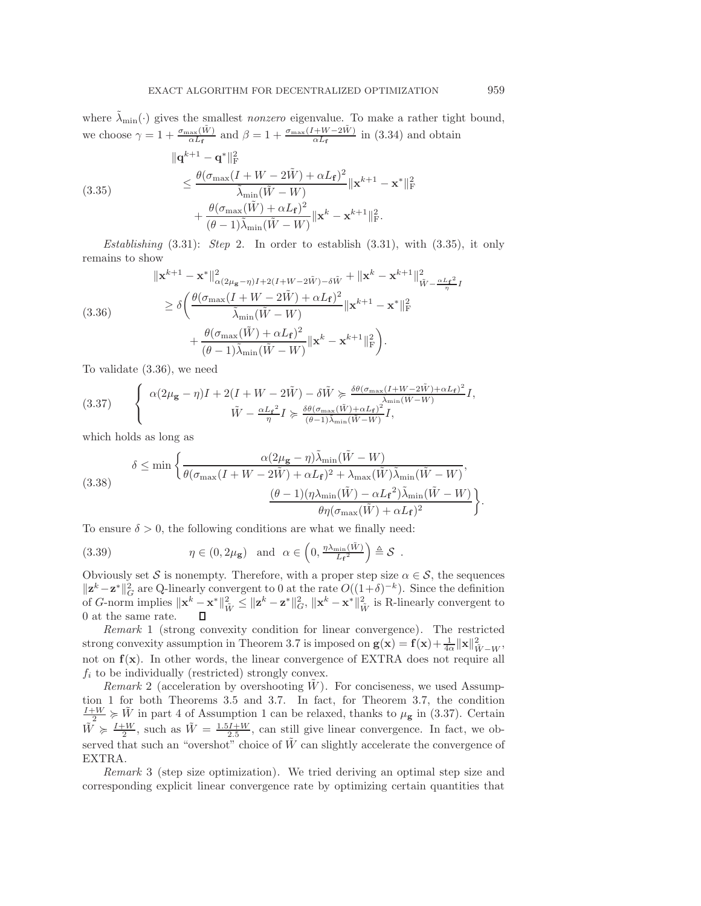where  $\lambda_{\min}(\cdot)$  gives the smallest *nonzero* eigenvalue. To make a rather tight bound, we choose  $\gamma = 1 + \frac{\sigma_{\text{max}}(\tilde{W})}{\alpha L_f}$  and  $\beta = 1 + \frac{\sigma_{\text{max}}(I + W - 2\tilde{W})}{\alpha L_f}$  in [\(3.34\)](#page-14-4) and obtain

(3.35)  

$$
\| \mathbf{q}^{k+1} - \mathbf{q}^* \|_{\mathbf{F}}^2
$$

$$
\leq \frac{\theta(\sigma_{\max}(I + W - 2\tilde{W}) + \alpha L_{\mathbf{f}})^2}{\tilde{\lambda}_{\min}(\tilde{W} - W)} \|\mathbf{x}^{k+1} - \mathbf{x}^*\|_{\mathbf{F}}^2
$$

$$
+ \frac{\theta(\sigma_{\max}(\tilde{W}) + \alpha L_{\mathbf{f}})^2}{(\theta - 1)\tilde{\lambda}_{\min}(\tilde{W} - W)} \|\mathbf{x}^k - \mathbf{x}^{k+1}\|_{\mathbf{F}}^2.
$$

*Establishing* [\(3.31\)](#page-14-2): *Step* 2. In order to establish [\(3.31\)](#page-14-2), with [\(3.35\)](#page-15-0), it only remains to show

<span id="page-15-1"></span>
$$
\|\mathbf{x}^{k+1} - \mathbf{x}^*\|_{\alpha(2\mu_{\mathbf{g}} - \eta)I + 2(I + W - 2\tilde{W}) - \delta \tilde{W}}^2 + \|\mathbf{x}^k - \mathbf{x}^{k+1}\|_{\tilde{W} - \frac{\alpha L_{\mathbf{f}}^2}{\eta}I}^2
$$
  
\n
$$
\geq \delta \left( \frac{\theta(\sigma_{\max}(I + W - 2\tilde{W}) + \alpha L_{\mathbf{f}})^2}{\tilde{\lambda}_{\min}(\tilde{W} - W)} \|\mathbf{x}^{k+1} - \mathbf{x}^*\|_{\text{F}}^2 + \frac{\theta(\sigma_{\max}(\tilde{W}) + \alpha L_{\mathbf{f}})^2}{(\theta - 1)\tilde{\lambda}_{\min}(\tilde{W} - W)} \|\mathbf{x}^k - \mathbf{x}^{k+1}\|_{\text{F}}^2 \right).
$$

<span id="page-15-2"></span>To validate [\(3.36\)](#page-15-1), we need

(3.37) 
$$
\begin{cases} \alpha(2\mu_{\mathbf{g}} - \eta)I + 2(I + W - 2\tilde{W}) - \delta \tilde{W} \succcurlyeq \frac{\delta \theta(\sigma_{\max}(I + W - 2\tilde{W}) + \alpha L_{\mathbf{f}})^2}{\tilde{\lambda}_{\min}(\tilde{W} - W)}I, \\ \tilde{W} - \frac{\alpha L_{\mathbf{f}}^2}{\eta}I \succcurlyeq \frac{\delta \theta(\sigma_{\max}(\tilde{W}) + \alpha L_{\mathbf{f}})^2}{(\theta - 1)\tilde{\lambda}_{\min}(\tilde{W} - W)}I, \end{cases}
$$

which holds as long as

(3.38) 
$$
\delta \leq \min \left\{ \frac{\alpha (2\mu_{\mathbf{g}} - \eta) \tilde{\lambda}_{\min}(\tilde{W} - W)}{\theta(\sigma_{\max}(I + W - 2\tilde{W}) + \alpha L_{\mathbf{f}})^2 + \lambda_{\max}(\tilde{W}) \tilde{\lambda}_{\min}(\tilde{W} - W)}, \frac{(\theta - 1)(\eta \lambda_{\min}(\tilde{W}) - \alpha L_{\mathbf{f}}^2) \tilde{\lambda}_{\min}(\tilde{W} - W)}{\theta \eta(\sigma_{\max}(\tilde{W}) + \alpha L_{\mathbf{f}})^2} \right\}
$$

To ensure  $\delta > 0$ , the following conditions are what we finally need:

(3.39) 
$$
\eta \in (0, 2\mu_{\mathbf{g}}) \text{ and } \alpha \in \left(0, \frac{\eta \lambda_{\min}(\tilde{W})}{L_{\mathbf{f}}^2}\right) \triangleq \mathcal{S}.
$$

Obviously set S is nonempty. Therefore, with a proper step size  $\alpha \in \mathcal{S}$ , the sequences  $\|\mathbf{z}^k-\mathbf{z}^*\|^2$  are Q-linearly convergent to 0 at the rate  $O((1+\delta)^{-k})$ . Since the definition of G-norm implies  $\|\mathbf{x}^k - \mathbf{x}^*\|_{\tilde{W}}^2 \leq \|\mathbf{z}^k - \mathbf{z}^*\|_{G}^2$ ,  $\|\mathbf{x}^k - \mathbf{x}^*\|_{\tilde{W}}^2$  is R-linearly convergent to 0 at the same rate.  $\Box$ 

*Remark* 1 (strong convexity condition for linear convergence). The restricted strong convexity assumption in Theorem [3.7](#page-13-6) is imposed on  $\mathbf{g}(\mathbf{x}) = \mathbf{f}(\mathbf{x}) + \frac{1}{4\alpha} ||\mathbf{x}||^2_{\tilde{W} - W}$ , not on **f**(**x**). In other words, the linear convergence of EXTRA does not require all  $f_i$  to be individually (restricted) strongly convex.

*Remark* 2 (acceleration by overshooting  $W$ ). For conciseness, we used Assumption [1](#page-5-1) for both Theorems [3.5](#page-11-2) and [3.7.](#page-13-6) In fact, for Theorem [3.7,](#page-13-6) the condition  $\frac{I+W}{2} \geq \tilde{W}$  in part 4 of Assumption [1](#page-5-1) can be relaxed, thanks to  $\mu_{\mathbf{g}}$  in [\(3.37\)](#page-15-2). Certain  $\tilde{W} \ge \frac{I+W}{2}$ , such as  $\tilde{W} = \frac{1.5I+W}{2.5}$ , can still give linear convergence. In fact, we observed that such an "overshot" choice of  $\tilde{W}$  can slightly accelerate the convergence of EXTRA.

*Remark* 3 (step size optimization). We tried deriving an optimal step size and corresponding explicit linear convergence rate by optimizing certain quantities that

<span id="page-15-3"></span><span id="page-15-0"></span>.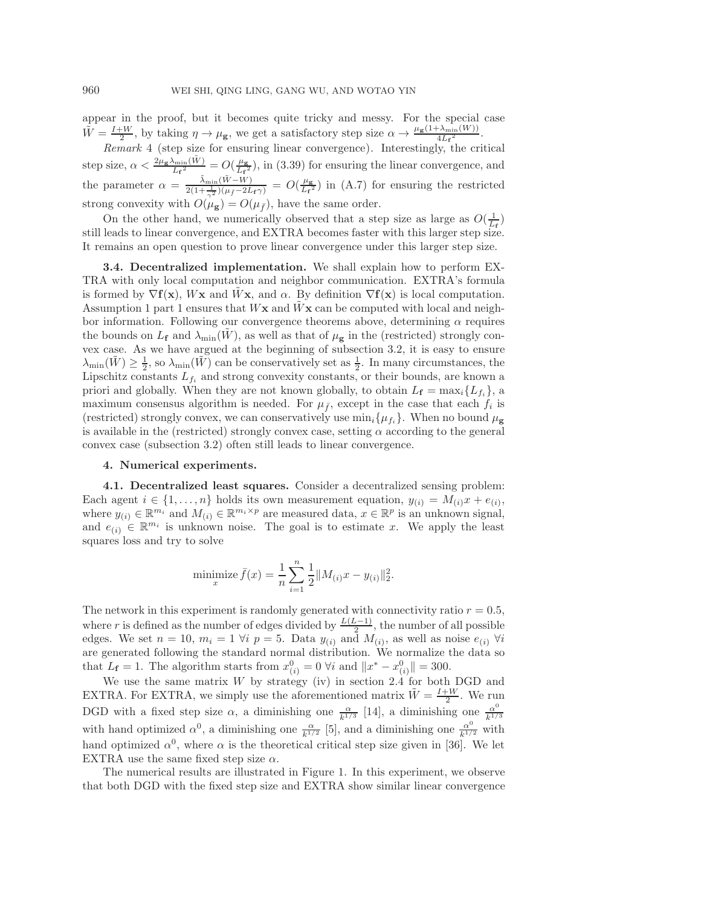appear in the proof, but it becomes quite tricky and messy. For the special case  $\tilde{W} = \frac{I+W}{2}$ , by taking  $\eta \to \mu_{\mathbf{g}}$ , we get a satisfactory step size  $\alpha \to \frac{\mu_{\mathbf{g}}(1+\lambda_{\min}(W))}{4L_{\mathbf{f}}^2}$ .

*Remark* 4 (step size for ensuring linear convergence). Interestingly, the critical step size,  $\alpha < \frac{2\mu_{\mathbf{g}}\lambda_{\min}(\tilde{W})}{L_{\mathbf{f}}^2} = O(\frac{\mu_{\mathbf{g}}}{L_{\mathbf{f}}^2})$ , in [\(3.39\)](#page-15-3) for ensuring the linear convergence, and the parameter  $\alpha = \frac{\tilde{\lambda}_{\min}(\tilde{W}-W)}{2(1+\frac{1}{\gamma^2})(\mu_{\tilde{f}}-2L_f\gamma)} = O(\frac{\mu_{\mathbf{g}}}{L_f^2})$  in [\(A.7\)](#page-20-2) for ensuring the restricted strong convexity with  $O(\mu_{\mathbf{g}}) = O(\mu_{\bar{f}})$ , have the same order.

On the other hand, we numerically observed that a step size as large as  $O(\frac{1}{L_f})$  loods to linear convergence, and  $\text{EXTRA}$  becomes faster with this larger step size. still leads to linear convergence, and EXTRA becomes faster with this larger step size. It remains an open question to prove linear convergence under this larger step size.

**3.4. Decentralized implementation.** We shall explain how to perform EX-TRA with only local computation and neighbor communication. EXTRA's formula is formed by  $\nabla$ **f**(**x**), W**x** and W**x**, and  $\alpha$ . By definition  $\nabla$ **f**(**x**) is local computation. Assumption [1](#page-5-1) part 1 ensures that  $W$ **x** and  $\overline{W}$ **x** can be computed with local and neighbor information. Following our convergence theorems above, determining  $\alpha$  requires the bounds on  $L_f$  and  $\lambda_{\min}(W)$ , as well as that of  $\mu_g$  in the (restricted) strongly convex case. As we have argued at the beginning of subsection [3.2,](#page-9-7) it is easy to ensure  $\lambda_{\min}(\tilde{W}) \geq \frac{1}{2}$ , so  $\lambda_{\min}(\tilde{W})$  can be conservatively set as  $\frac{1}{2}$ . In many circumstances, the Lipschitz constants  $L_{f_i}$  and strong convexity constants, or their bounds, are known a priori and globally. When they are not known globally, to obtain  $L_f = \max_i \{L_{f_i}\}\$ , a maximum consensus algorithm is needed. For  $\mu_{\bar{f}}$ , except in the case that each  $f_i$  is (restricted) strongly convex, we can conservatively use  $\min_i {\mu_i }$ . When no bound  $\mu_{\mathbf{g}}$ is available in the (restricted) strongly convex case, setting  $\alpha$  according to the general convex case (subsection [3.2\)](#page-9-7) often still leads to linear convergence.

## <span id="page-16-0"></span>**4. Numerical experiments.**

<span id="page-16-1"></span>**4.1. Decentralized least squares.** Consider a decentralized sensing problem: Each agent  $i \in \{1, \ldots, n\}$  holds its own measurement equation,  $y_{(i)} = M_{(i)}x + e_{(i)}$ , where  $y_{(i)} \in \mathbb{R}^{m_i}$  and  $M_{(i)} \in \mathbb{R}^{m_i \times p}$  are measured data,  $x \in \mathbb{R}^p$  is an unknown signal, and  $e_{(i)} \in \mathbb{R}^{m_i}$  is unknown noise. The goal is to estimate x. We apply the least squares loss and try to solve

minimize 
$$
\bar{f}(x) = \frac{1}{n} \sum_{i=1}^{n} \frac{1}{2} ||M_{(i)}x - y_{(i)}||_2^2
$$
.

The network in this experiment is randomly generated with connectivity ratio  $r = 0.5$ , where r is defined as the number of edges divided by  $\frac{L(L-1)}{2}$ , the number of all possible edges. We set  $n = 10$ ,  $m_i = 1$   $\forall i \ p = 5$ . Data  $y_{(i)}$  and  $M_{(i)}$ , as well as noise  $e_{(i)}$   $\forall i$ are generated following the standard normal distribution. We normalize the data so that  $L_f = 1$ . The algorithm starts from  $x_{(i)}^0 = 0$   $\forall i$  and  $||x^* - x_{(i)}^0|| = 300$ .

We use the same matrix  $W$  by strategy (iv) in section [2.4](#page-6-0) for both DGD and EXTRA. For EXTRA, we simply use the aforementioned matrix  $\tilde{W} = \frac{I+W}{2}$ . We run DGD with a fixed step size  $\alpha$ , a diminishing one  $\frac{\alpha}{k^{1/3}}$  [\[14\]](#page-21-16), a diminishing one  $\frac{\alpha^0}{k^{1/3}}$ with hand optimized  $\alpha^0$ , a diminishing one  $\frac{\alpha}{k^{1/2}}$  [\[5\]](#page-21-15), and a diminishing one  $\frac{\alpha^0}{k^{1/2}}$  with hand optimized  $\alpha^0$ , where  $\alpha$  is the theoretical critical step size given in [\[36\]](#page-22-2). We let EXTRA use the same fixed step size  $\alpha$ .

The numerical results are illustrated in Figure [1.](#page-17-0) In this experiment, we observe that both DGD with the fixed step size and EXTRA show similar linear convergence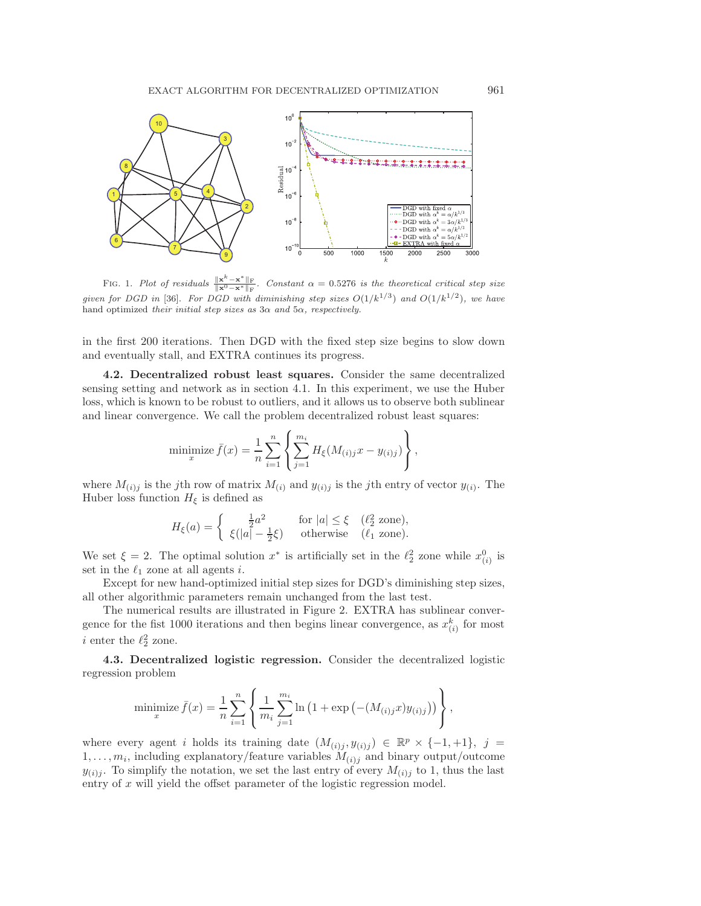

<span id="page-17-0"></span>FIG. 1. Plot of residuals  $\frac{\|\mathbf{x}^k - \mathbf{x}^*\|_F}{\|\mathbf{x}^0 - \mathbf{x}^*\|_F}$  $Constant \alpha = 0.5276$  is the theoretical critical step size given for DGD in [\[36\]](#page-22-2). For DGD with diminishing step sizes  $O(1/k^{1/3})$  and  $O(1/k^{1/2})$ , we have hand optimized their initial step sizes as  $3\alpha$  and  $5\alpha$ , respectively.

in the first 200 iterations. Then DGD with the fixed step size begins to slow down and eventually stall, and EXTRA continues its progress.

**4.2. Decentralized robust least squares.** Consider the same decentralized sensing setting and network as in section [4.1.](#page-16-1) In this experiment, we use the Huber loss, which is known to be robust to outliers, and it allows us to observe both sublinear and linear convergence. We call the problem decentralized robust least squares:

minimize 
$$
\bar{f}(x) = \frac{1}{n} \sum_{i=1}^{n} \left\{ \sum_{j=1}^{m_i} H_{\xi}(M_{(i)j}x - y_{(i)j}) \right\},\,
$$

where  $M_{(i)j}$  is the jth row of matrix  $M_{(i)}$  and  $y_{(i)j}$  is the jth entry of vector  $y_{(i)}$ . The Huber loss function  $H_{\xi}$  is defined as

$$
H_{\xi}(a) = \begin{cases} \frac{1}{2}a^2 & \text{for } |a| \le \xi \quad (\ell_2^2 \text{ zone}), \\ \xi(|a| - \frac{1}{2}\xi) & \text{otherwise} \quad (\ell_1 \text{ zone}). \end{cases}
$$

We set  $\xi = 2$ . The optimal solution  $x^*$  is artificially set in the  $\ell_2^2$  zone while  $x_{(i)}^0$  is set in the  $\ell_1$  zone at all agents i.

Except for new hand-optimized initial step sizes for DGD's diminishing step sizes, all other algorithmic parameters remain unchanged from the last test.

The numerical results are illustrated in Figure [2.](#page-18-1) EXTRA has sublinear convergence for the fist 1000 iterations and then begins linear convergence, as  $x_{(i)}^k$  for most *i* enter the  $\ell_2^2$  zone.

**4.3. Decentralized logistic regression.** Consider the decentralized logistic regression problem

minimize 
$$
\bar{f}(x) = \frac{1}{n} \sum_{i=1}^{n} \left\{ \frac{1}{m_i} \sum_{j=1}^{m_i} \ln (1 + \exp(-(M_{(i)j}x)y_{(i)j})) \right\},\,
$$

where every agent i holds its training date  $(M_{(i)j}, y_{(i)j}) \in \mathbb{R}^p \times \{-1, +1\}, j =$  $1,\ldots,m_i$ , including explanatory/feature variables  $M_{(i)j}$  and binary output/outcome  $y_{(i)j}$ . To simplify the notation, we set the last entry of every  $M_{(i)j}$  to 1, thus the last entry of x will yield the offset parameter of the logistic regression model.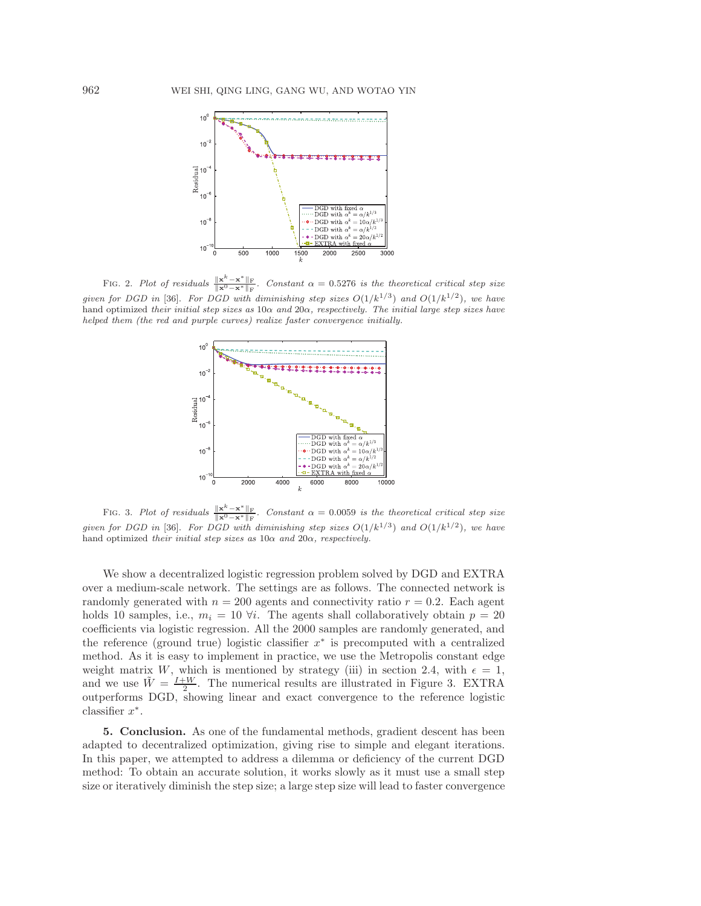

<span id="page-18-1"></span>FIG. 2. Plot of residuals  $\frac{\|\mathbf{x}^k - \mathbf{x}^*\|_F}{\|\mathbf{x}^0 - \mathbf{x}^*\|_F}$ Constant  $\alpha = 0.5276$  is the theoretical critical step size given for DGD in [\[36\]](#page-22-2). For DGD with diminishing step sizes  $O(1/k^{1/3})$  and  $O(1/k^{1/2})$ , we have hand optimized their initial step sizes as  $10\alpha$  and  $20\alpha$ , respectively. The initial large step sizes have helped them (the red and purple curves) realize faster convergence initially.



<span id="page-18-2"></span>FIG. 3. Plot of residuals  $\frac{\|\mathbf{x}^k - \mathbf{x}^*\|_F}{\|\mathbf{x}^0 - \mathbf{x}^*\|_F}$ Constant  $\alpha = 0.0059$  is the theoretical critical step size given for DGD in [\[36\]](#page-22-2). For DGD with diminishing step sizes  $O(1/k^{1/3})$  and  $O(1/k^{1/2})$ , we have hand optimized their initial step sizes as  $10\alpha$  and  $20\alpha$ , respectively.

We show a decentralized logistic regression problem solved by DGD and EXTRA over a medium-scale network. The settings are as follows. The connected network is randomly generated with  $n = 200$  agents and connectivity ratio  $r = 0.2$ . Each agent holds 10 samples, i.e.,  $m_i = 10 \forall i$ . The agents shall collaboratively obtain  $p = 20$ coefficients via logistic regression. All the 2000 samples are randomly generated, and the reference (ground true) logistic classifier  $x^*$  is precomputed with a centralized method. As it is easy to implement in practice, we use the Metropolis constant edge weight matrix W, which is mentioned by strategy (iii) in section [2.4,](#page-6-0) with  $\epsilon = 1$ , and we use  $\tilde{W} = \frac{I+W}{2}$ . The numerical results are illustrated in Figure [3.](#page-18-2) EXTRA outperforms DGD, showing linear and exact convergence to the reference logistic classifier  $x^*$ .

<span id="page-18-0"></span>**5. Conclusion.** As one of the fundamental methods, gradient descent has been adapted to decentralized optimization, giving rise to simple and elegant iterations. In this paper, we attempted to address a dilemma or deficiency of the current DGD method: To obtain an accurate solution, it works slowly as it must use a small step size or iteratively diminish the step size; a large step size will lead to faster convergence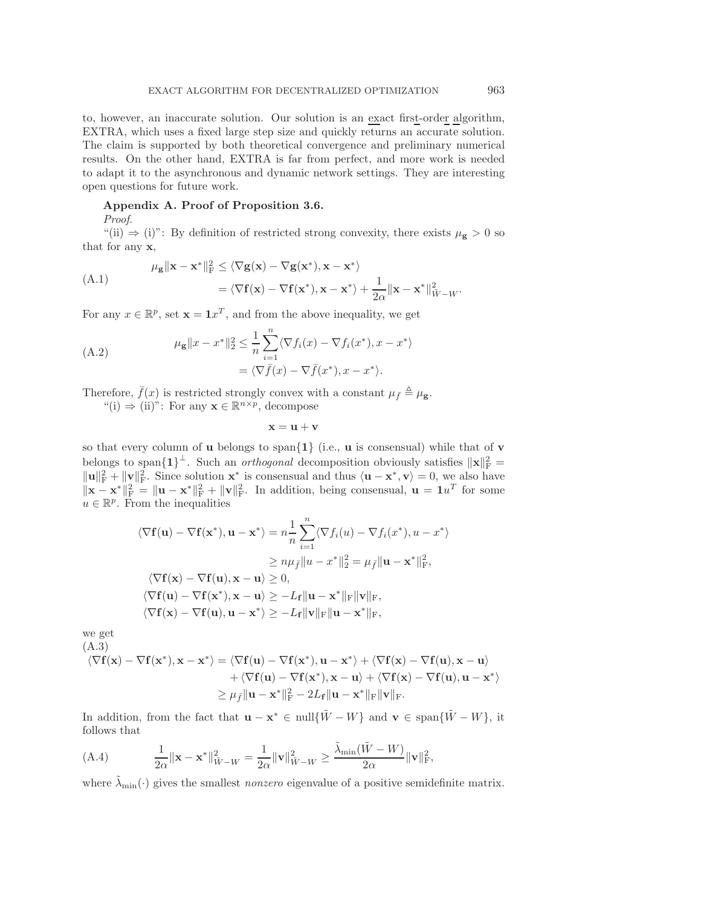to, however, an inaccurate solution. Our solution is an exact first-order algorithm, EXTRA, which uses a fixed large step size and quickly returns an accurate solution. The claim is supported by both theoretical convergence and preliminary numerical results. On the other hand, EXTRA is far from perfect, and more work is needed to adapt it to the asynchronous and dynamic network settings. They are interesting open questions for future work.

## <span id="page-19-0"></span>**Appendix A. Proof of Proposition [3.6.](#page-12-2)**

*Proof*.

"(ii)  $\Rightarrow$  (i)": By definition of restricted strong convexity, there exists  $\mu_{\mathbf{g}} > 0$  so that for any **x**,

$$
\mu_{\mathbf{g}} \|\mathbf{x} - \mathbf{x}^*\|_{\mathrm{F}}^2 \le \langle \nabla \mathbf{g}(\mathbf{x}) - \nabla \mathbf{g}(\mathbf{x}^*), \mathbf{x} - \mathbf{x}^* \rangle \n= \langle \nabla \mathbf{f}(\mathbf{x}) - \nabla \mathbf{f}(\mathbf{x}^*), \mathbf{x} - \mathbf{x}^* \rangle + \frac{1}{2\alpha} \|\mathbf{x} - \mathbf{x}^*\|_{\tilde{W} - W}^2.
$$

For any  $x \in \mathbb{R}^p$ , set  $\mathbf{x} = \mathbf{1}x^T$ , and from the above inequality, we get

(A.2) 
$$
\mu_{\mathbf{g}} \|x - x^*\|_2^2 \leq \frac{1}{n} \sum_{i=1}^n \langle \nabla f_i(x) - \nabla f_i(x^*), x - x^* \rangle
$$

$$
= \langle \nabla \bar{f}(x) - \nabla \bar{f}(x^*), x - x^* \rangle.
$$

Therefore,  $\bar{f}(x)$  is restricted strongly convex with a constant  $\mu_{\bar{f}} \triangleq \mu_{\mathbf{g}}$ .<br>  $\mu_{\bar{f}}(x) = \mu_{\bar{g}}(x)$ . For any  $\mathbf{x} \in \mathbb{R}^{n \times p}$ , decompase

"(i)  $\Rightarrow$  (ii)": For any **x**  $\in \mathbb{R}^{n \times p}$ , decompose

 $\mathbf{x} = \mathbf{u} + \mathbf{v}$ 

so that every column of **u** belongs to span{**1**} (i.e., **u** is consensual) while that of **v** belongs to span $\{1\}^{\perp}$ . Such an *orthogonal* decomposition obviously satisfies  $\|\mathbf{x}\|_{\text{F}}^2 =$  $\|\mathbf{u}\|_{\mathbf{F}}^2 + \|\mathbf{v}\|_{\mathbf{F}}^2$ . Since solution  $\mathbf{x}^*$  is consensual and thus  $\langle \mathbf{u} - \mathbf{x}^*, \mathbf{v} \rangle = 0$ , we also have  $\|\mathbf{x} - \mathbf{x}^*\|^2_F = \|\mathbf{u} - \mathbf{x}^*\|^2_F + \|\mathbf{v}\|^2_F$ . In addition, being consensual,  $\mathbf{u} = \mathbf{1}u^T$  for some  $u \in \mathbb{R}^p$ . From the inequalities

$$
\langle \nabla \mathbf{f}(\mathbf{u}) - \nabla \mathbf{f}(\mathbf{x}^*), \mathbf{u} - \mathbf{x}^* \rangle = n \frac{1}{n} \sum_{i=1}^n \langle \nabla f_i(u) - \nabla f_i(x^*), u - x^* \rangle
$$
  
\n
$$
\ge n \mu_{\bar{f}} ||u - x^*||_2^2 = \mu_{\bar{f}} ||\mathbf{u} - \mathbf{x}^*||_{\mathbf{F}}^2,
$$
  
\n
$$
\langle \nabla \mathbf{f}(\mathbf{x}) - \nabla \mathbf{f}(\mathbf{u}), \mathbf{x} - \mathbf{u} \rangle \ge 0,
$$
  
\n
$$
\langle \nabla \mathbf{f}(\mathbf{u}) - \nabla \mathbf{f}(\mathbf{x}^*), \mathbf{x} - \mathbf{u} \rangle \ge -L_{\mathbf{f}} ||\mathbf{u} - \mathbf{x}^*||_{\mathbf{F}} ||\mathbf{v}||_{\mathbf{F}},
$$
  
\n
$$
\langle \nabla \mathbf{f}(\mathbf{x}) - \nabla \mathbf{f}(\mathbf{u}), \mathbf{u} - \mathbf{x}^* \rangle \ge -L_{\mathbf{f}} ||\mathbf{v}||_{\mathbf{F}} ||\mathbf{u} - \mathbf{x}^*||_{\mathbf{F}},
$$

<span id="page-19-1"></span>we get

(A.3)  
\n
$$
\langle \nabla \mathbf{f}(\mathbf{x}) - \nabla \mathbf{f}(\mathbf{x}^*), \mathbf{x} - \mathbf{x}^* \rangle = \langle \nabla \mathbf{f}(\mathbf{u}) - \nabla \mathbf{f}(\mathbf{x}^*), \mathbf{u} - \mathbf{x}^* \rangle + \langle \nabla \mathbf{f}(\mathbf{x}) - \nabla \mathbf{f}(\mathbf{u}), \mathbf{x} - \mathbf{u} \rangle \n+ \langle \nabla \mathbf{f}(\mathbf{u}) - \nabla \mathbf{f}(\mathbf{x}^*), \mathbf{x} - \mathbf{u} \rangle + \langle \nabla \mathbf{f}(\mathbf{x}) - \nabla \mathbf{f}(\mathbf{u}), \mathbf{u} - \mathbf{x}^* \rangle \n\ge \mu_{\bar{f}} \|\mathbf{u} - \mathbf{x}^*\|_{\mathrm{F}}^2 - 2L_{\mathbf{f}} \|\mathbf{u} - \mathbf{x}^*\|_{\mathrm{F}} \|\mathbf{v}\|_{\mathrm{F}}.
$$

In addition, from the fact that  $\mathbf{u} - \mathbf{x}^* \in \text{null}\{\tilde{W} - W\}$  and  $\mathbf{v} \in \text{span}\{\tilde{W} - W\}$ , it follows that

<span id="page-19-2"></span>(A.4) 
$$
\frac{1}{2\alpha} ||\mathbf{x} - \mathbf{x}^*||_{\tilde{W} - W}^2 = \frac{1}{2\alpha} ||\mathbf{v}||_{\tilde{W} - W}^2 \ge \frac{\tilde{\lambda}_{\min}(\tilde{W} - W)}{2\alpha} ||\mathbf{v}||_{\text{F}}^2,
$$

where  $\tilde{\lambda}_{\text{min}}(\cdot)$  gives the smallest *nonzero* eigenvalue of a positive semidefinite matrix.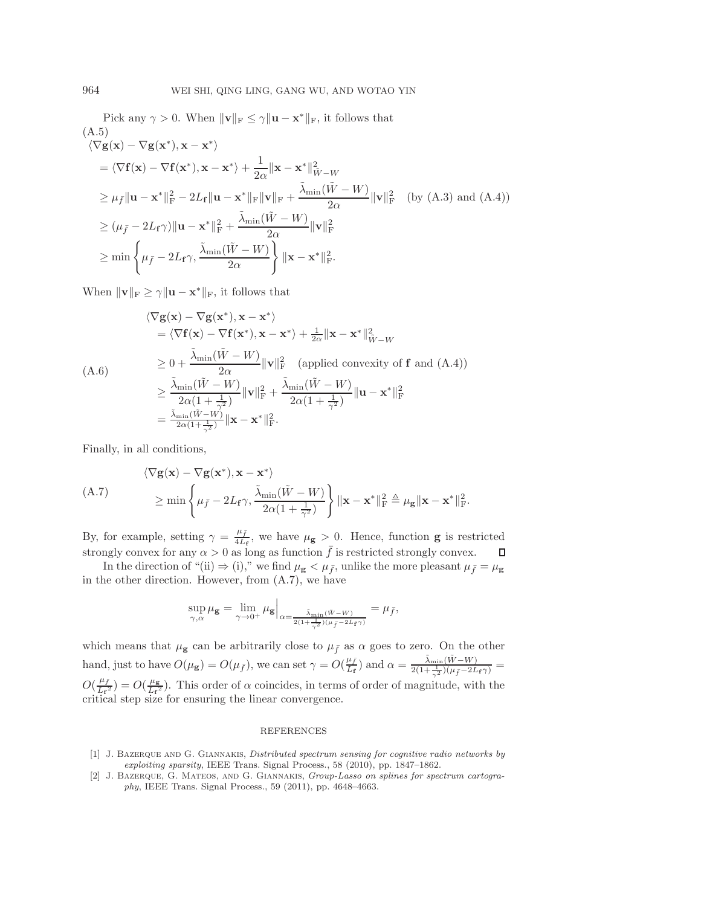Pick any  $\gamma > 0$ . When  $\|\mathbf{v}\|_F \leq \gamma \|\mathbf{u} - \mathbf{x}^*\|_F$ , it follows that (A.5)  $\langle \nabla \mathbf{g}(\mathbf{x}) - \nabla \mathbf{g}(\mathbf{x}^*), \mathbf{x} - \mathbf{x}^* \rangle$  $= \langle \nabla \mathbf{f}(\mathbf{x}) - \nabla \mathbf{f}(\mathbf{x}^*), \mathbf{x} - \mathbf{x}^* \rangle + \frac{1}{2\alpha} ||\mathbf{x} - \mathbf{x}^*||^2_{\tilde{W} - W}$  $\geq \mu_{\bar{f}} \| \mathbf{u} - \mathbf{x}^* \|_{\mathrm{F}}^2 - 2L_{\mathbf{f}} \| \mathbf{u} - \mathbf{x}^* \|_{\mathrm{F}} \| \mathbf{v} \|_{\mathrm{F}} + \frac{\tilde{\lambda}_{\min}(\tilde{W} - W)}{2\alpha} \| \mathbf{v} \|_{\mathrm{F}}^2$  (by [\(A.3\)](#page-19-1) and [\(A.4\)](#page-19-2))  $\geq (\mu_{\bar{f}} - 2L_f\gamma)\|\mathbf{u} - \mathbf{x}^*\|_{\mathrm{F}}^2 + \frac{\tilde{\lambda}_{\min}(\tilde{W} - W)}{2\alpha}\|\mathbf{v}\|_{\mathrm{F}}^2$  $\geq \min \Bigg\{ \mu_{\bar{f}} - 2L_{\bf f} \gamma,$  $\tilde{\lambda}_{\text{min}}(\tilde{W}-W)$  $\frac{W-W}{2\alpha}$  |  $\|\mathbf{x}-\mathbf{x}^*\|_{\text{F}}^2$ . )<br>)

When  $\|\mathbf{v}\|_{\text{F}} \geq \gamma \|\mathbf{u} - \mathbf{x}^*\|_{\text{F}}$ , it follows that

$$
\langle \nabla \mathbf{g}(\mathbf{x}) - \nabla \mathbf{g}(\mathbf{x}^*), \mathbf{x} - \mathbf{x}^* \rangle
$$
  
\n
$$
= \langle \nabla \mathbf{f}(\mathbf{x}) - \nabla \mathbf{f}(\mathbf{x}^*), \mathbf{x} - \mathbf{x}^* \rangle + \frac{1}{2\alpha} ||\mathbf{x} - \mathbf{x}^*||_{\tilde{W}-W}^2
$$
  
\n
$$
\geq 0 + \frac{\tilde{\lambda}_{\min}(\tilde{W} - W)}{2\alpha} ||\mathbf{v}||_{\text{F}}^2 \quad \text{(applied convexity of } \mathbf{f} \text{ and (A.4))}
$$
  
\n
$$
\geq \frac{\tilde{\lambda}_{\min}(\tilde{W} - W)}{2\alpha(1 + \frac{1}{\gamma^2})} ||\mathbf{v}||_{\text{F}}^2 + \frac{\tilde{\lambda}_{\min}(\tilde{W} - W)}{2\alpha(1 + \frac{1}{\gamma^2})} ||\mathbf{u} - \mathbf{x}^*||_{\text{F}}^2
$$
  
\n
$$
= \frac{\tilde{\lambda}_{\min}(\tilde{W} - W)}{2\alpha(1 + \frac{1}{\gamma^2})} ||\mathbf{x} - \mathbf{x}^*||_{\text{F}}^2.
$$

<span id="page-20-2"></span>Finally, in all conditions,

$$
\langle \nabla \mathbf{g}(\mathbf{x}) - \nabla \mathbf{g}(\mathbf{x}^*), \mathbf{x} - \mathbf{x}^* \rangle
$$
  
\n
$$
\geq \min \left\{ \mu_{\bar{f}} - 2L_{\mathbf{f}} \gamma, \frac{\tilde{\lambda}_{\min}(\tilde{W} - W)}{2\alpha(1 + \frac{1}{\gamma^2})} \right\} \|\mathbf{x} - \mathbf{x}^*\|_{\mathrm{F}}^2 \triangleq \mu_{\mathbf{g}} \|\mathbf{x} - \mathbf{x}^*\|_{\mathrm{F}}^2.
$$

By, for example, setting  $\gamma = \frac{\mu_{\bar{f}}}{4L_{\bar{f}}},$  we have  $\mu_{\mathbf{g}} > 0$ . Hence, function **g** is restricted strongly convex for any  $\alpha > 0$  as long as function  $\bar{f}$  is restricted strongly convex.

In the direction of "(ii)  $\Rightarrow$  (i)," we find  $\mu_{\mathbf{g}} < \mu_{\bar{f}}$ , unlike the more pleasant  $\mu_{\bar{f}} = \mu_{\mathbf{g}}$ in the other direction. However, from  $(A.7)$ , we have

$$
\sup_{\gamma,\alpha} \mu_{\mathbf{g}} = \lim_{\gamma \to 0^+} \mu_{\mathbf{g}} \Big|_{\alpha = \frac{\bar{\lambda}_{\min}(\bar{w} - w)}{2(1 + \frac{1}{\gamma^2})(\mu_{\bar{f}} - 2L_{\mathbf{f}}\gamma)}} = \mu_{\bar{f}},
$$

which means that  $\mu_{\mathbf{g}}$  can be arbitrarily close to  $\mu_{\bar{f}}$  as  $\alpha$  goes to zero. On the other hand, just to have  $O(\mu_{\mathbf{g}}) = O(\mu_{\bar{f}})$ , we can set  $\gamma = O(\frac{\mu_{\bar{f}}}{L_{\mathbf{f}}})$  and  $\alpha = \frac{\tilde{\lambda}_{\min}(\tilde{W} - W)}{2(1 + \frac{1}{\gamma^2})(\mu_{\bar{f}} - 2L_{\mathbf{f}}\gamma)}$  $O(\frac{\mu_f}{L_f^2}) = O(\frac{\mu_g}{L_f^2})$ . This order of  $\alpha$  coincides, in terms of order of magnitude, with the critical step size for ensuring the linear convergence.

## REFERENCES

- <span id="page-20-0"></span>[1] J. BAZERQUE AND G. GIANNAKIS, Distributed spectrum sensing for cognitive radio networks by exploiting sparsity, IEEE Trans. Signal Process., 58 (2010), pp. 1847–1862.
- <span id="page-20-1"></span>[2] J. Bazerque, G. Mateos, and G. Giannakis, Group-Lasso on splines for spectrum cartography, IEEE Trans. Signal Process., 59 (2011), pp. 4648–4663.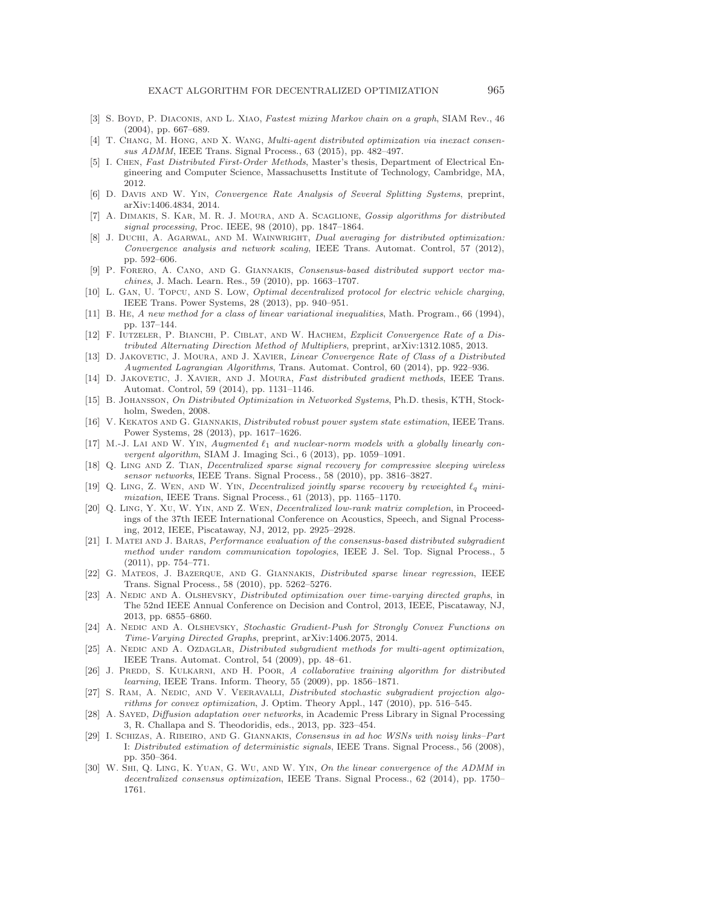- <span id="page-21-24"></span>[3] S. BOYD, P. DIACONIS, AND L. XIAO, Fastest mixing Markov chain on a graph, SIAM Rev., 46 (2004), pp. 667–689.
- <span id="page-21-19"></span>[4] T. Chang, M. Hong, and X. Wang, Multi-agent distributed optimization via inexact consensus ADMM, IEEE Trans. Signal Process., 63 (2015), pp. 482–497.
- <span id="page-21-15"></span>[5] I. Chen, Fast Distributed First-Order Methods, Master's thesis, Department of Electrical Engineering and Computer Science, Massachusetts Institute of Technology, Cambridge, MA, 2012.
- <span id="page-21-26"></span>[6] D. Davis and W. Yin, Convergence Rate Analysis of Several Splitting Systems, preprint, arXiv:1406.4834, 2014.
- <span id="page-21-0"></span>[7] A. Dimakis, S. Kar, M. R. J. Moura, and A. Scaglione, Gossip algorithms for distributed signal processing, Proc. IEEE, 98 (2010), pp. 1847–1864.
- <span id="page-21-17"></span>[8] J. DUCHI, A. AGARWAL, AND M. WAINWRIGHT, Dual averaging for distributed optimization: Convergence analysis and network scaling, IEEE Trans. Automat. Control, 57 (2012), pp. 592–606.
- <span id="page-21-2"></span>[9] P. Forero, A. Cano, and G. Giannakis, Consensus-based distributed support vector machines, J. Mach. Learn. Res., 59 (2010), pp. 1663–1707.
- <span id="page-21-10"></span>[10] L. Gan, U. Topcu, and S. Low, Optimal decentralized protocol for electric vehicle charging, IEEE Trans. Power Systems, 28 (2013), pp. 940–951.
- <span id="page-21-25"></span>[11] B. He, A new method for a class of linear variational inequalities, Math. Program., 66 (1994), pp. 137–144.
- <span id="page-21-21"></span>[12] F. Iutzeler, P. Bianchi, P. Ciblat, and W. Hachem, Explicit Convergence Rate of a Distributed Alternating Direction Method of Multipliers, preprint, arXiv:1312.1085, 2013.
- <span id="page-21-22"></span>[13] D. JAKOVETIC, J. MOURA, AND J. XAVIER, *Linear Convergence Rate of Class of a Distributed* Augmented Lagrangian Algorithms, Trans. Automat. Control, 60 (2014), pp. 922–936.
- <span id="page-21-16"></span>[14] D. Jakovetic, J. Xavier, and J. Moura, Fast distributed gradient methods, IEEE Trans. Automat. Control, 59 (2014), pp. 1131–1146.
- <span id="page-21-1"></span>[15] B. JOHANSSON, On Distributed Optimization in Networked Systems, Ph.D. thesis, KTH, Stockholm, Sweden, 2008.
- <span id="page-21-5"></span>[16] V. Kekatos and G. Giannakis, Distributed robust power system state estimation, IEEE Trans. Power Systems, 28 (2013), pp. 1617–1626.
- <span id="page-21-27"></span>[17] M.-J. Lai and W. Yin, Augmented  $\ell_1$  and nuclear-norm models with a globally linearly convergent algorithm, SIAM J. Imaging Sci., 6 (2013), pp. 1059–1091.
- <span id="page-21-6"></span>[18] Q. LING AND Z. TIAN, *Decentralized sparse signal recovery for compressive sleeping wireless* sensor networks, IEEE Trans. Signal Process., 58 (2010), pp. 3816–3827.
- <span id="page-21-8"></span>[19] Q. Ling, Z. Wen, and W. Yin, Decentralized jointly sparse recovery by reweighted *<sup>q</sup>* minimization, IEEE Trans. Signal Process., 61 (2013), pp. 1165–1170.
- <span id="page-21-9"></span>[20] Q. Ling, Y. Xu, W. Yin, and Z. Wen, Decentralized low-rank matrix completion, in Proceedings of the 37th IEEE International Conference on Acoustics, Speech, and Signal Processing, 2012, IEEE, Piscataway, NJ, 2012, pp. 2925–2928.
- <span id="page-21-11"></span>[21] I. MATEI AND J. BARAS, *Performance evaluation of the consensus-based distributed subgradient* method under random communication topologies, IEEE J. Sel. Top. Signal Process., 5 (2011), pp. 754–771.
- <span id="page-21-3"></span>[22] G. Mateos, J. Bazerque, and G. Giannakis, Distributed sparse linear regression, IEEE Trans. Signal Process., 58 (2010), pp. 5262–5276.
- <span id="page-21-13"></span>[23] A. NEDIC AND A. OLSHEVSKY, *Distributed optimization over time-varying directed graphs*, in The 52nd IEEE Annual Conference on Decision and Control, 2013, IEEE, Piscataway, NJ, 2013, pp. 6855–6860.
- <span id="page-21-14"></span>[24] A. NEDIC AND A. OLSHEVSKY, Stochastic Gradient-Push for Strongly Convex Functions on Time-Varying Directed Graphs, preprint, arXiv:1406.2075, 2014.
- <span id="page-21-12"></span>[25] A. NEDIC AND A. OZDAGLAR, Distributed subgradient methods for multi-agent optimization, IEEE Trans. Automat. Control, 54 (2009), pp. 48–61.
- <span id="page-21-4"></span>[26] J. PREDD, S. KULKARNI, AND H. POOR, A collaborative training algorithm for distributed learning, IEEE Trans. Inform. Theory, 55 (2009), pp. 1856–1871.
- <span id="page-21-18"></span>[27] S. RAM, A. NEDIC, AND V. VEERAVALLI, Distributed stochastic subgradient projection algorithms for convex optimization, J. Optim. Theory Appl., 147 (2010), pp. 516–545.
- <span id="page-21-23"></span>[28] A. Sayed, Diffusion adaptation over networks, in Academic Press Library in Signal Processing 3, R. Challapa and S. Theodoridis, eds., 2013, pp. 323–454.
- <span id="page-21-7"></span>[29] I. Schizas, A. Ribeiro, and G. Giannakis, Consensus in ad hoc WSNs with noisy links–Part I: Distributed estimation of deterministic signals, IEEE Trans. Signal Process., 56 (2008), pp. 350–364.
- <span id="page-21-20"></span>[30] W. Shi, Q. Ling, K. Yuan, G. Wu, and W. Yin, On the linear convergence of the ADMM in decentralized consensus optimization, IEEE Trans. Signal Process., 62 (2014), pp. 1750– 1761.